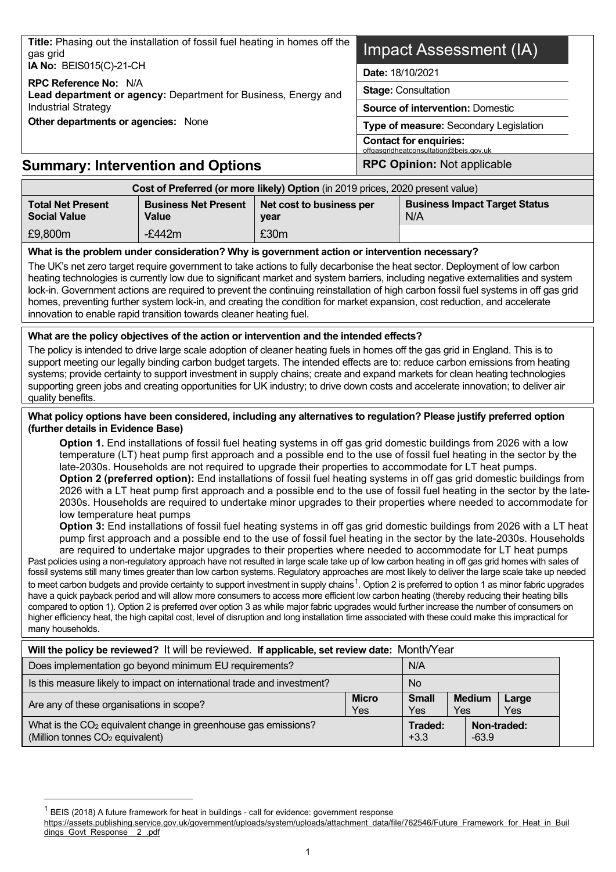| gas grid                                                                                                                                                                                                                                                                                                                                                                                                                                                                                                                                                                                                                                                                                                                                                                                                                                                                                                                                                                                                                                                                                                                                                                                                                                                                                                                                                                                                                                                                                                                                                                                                                                                                                                                                                                                                                                                                                                                                                                                                                                                                 | Title: Phasing out the installation of fossil fuel heating in homes off the                                                                                                                                                                                                                                                                                                                                                                                                                                                                                                                                                |                                  |                                         | Impact Assessment (IA)                                                  |                      |                                        |  |
|--------------------------------------------------------------------------------------------------------------------------------------------------------------------------------------------------------------------------------------------------------------------------------------------------------------------------------------------------------------------------------------------------------------------------------------------------------------------------------------------------------------------------------------------------------------------------------------------------------------------------------------------------------------------------------------------------------------------------------------------------------------------------------------------------------------------------------------------------------------------------------------------------------------------------------------------------------------------------------------------------------------------------------------------------------------------------------------------------------------------------------------------------------------------------------------------------------------------------------------------------------------------------------------------------------------------------------------------------------------------------------------------------------------------------------------------------------------------------------------------------------------------------------------------------------------------------------------------------------------------------------------------------------------------------------------------------------------------------------------------------------------------------------------------------------------------------------------------------------------------------------------------------------------------------------------------------------------------------------------------------------------------------------------------------------------------------|----------------------------------------------------------------------------------------------------------------------------------------------------------------------------------------------------------------------------------------------------------------------------------------------------------------------------------------------------------------------------------------------------------------------------------------------------------------------------------------------------------------------------------------------------------------------------------------------------------------------------|----------------------------------|-----------------------------------------|-------------------------------------------------------------------------|----------------------|----------------------------------------|--|
| IA No: BEIS015(C)-21-CH                                                                                                                                                                                                                                                                                                                                                                                                                                                                                                                                                                                                                                                                                                                                                                                                                                                                                                                                                                                                                                                                                                                                                                                                                                                                                                                                                                                                                                                                                                                                                                                                                                                                                                                                                                                                                                                                                                                                                                                                                                                  |                                                                                                                                                                                                                                                                                                                                                                                                                                                                                                                                                                                                                            |                                  |                                         | Date: 18/10/2021                                                        |                      |                                        |  |
| RPC Reference No: N/A<br>Lead department or agency: Department for Business, Energy and                                                                                                                                                                                                                                                                                                                                                                                                                                                                                                                                                                                                                                                                                                                                                                                                                                                                                                                                                                                                                                                                                                                                                                                                                                                                                                                                                                                                                                                                                                                                                                                                                                                                                                                                                                                                                                                                                                                                                                                  |                                                                                                                                                                                                                                                                                                                                                                                                                                                                                                                                                                                                                            | <b>Stage: Consultation</b>       |                                         |                                                                         |                      |                                        |  |
| <b>Industrial Strategy</b>                                                                                                                                                                                                                                                                                                                                                                                                                                                                                                                                                                                                                                                                                                                                                                                                                                                                                                                                                                                                                                                                                                                                                                                                                                                                                                                                                                                                                                                                                                                                                                                                                                                                                                                                                                                                                                                                                                                                                                                                                                               |                                                                                                                                                                                                                                                                                                                                                                                                                                                                                                                                                                                                                            |                                  | <b>Source of intervention: Domestic</b> |                                                                         |                      |                                        |  |
| Other departments or agencies: None                                                                                                                                                                                                                                                                                                                                                                                                                                                                                                                                                                                                                                                                                                                                                                                                                                                                                                                                                                                                                                                                                                                                                                                                                                                                                                                                                                                                                                                                                                                                                                                                                                                                                                                                                                                                                                                                                                                                                                                                                                      |                                                                                                                                                                                                                                                                                                                                                                                                                                                                                                                                                                                                                            |                                  |                                         |                                                                         |                      | Type of measure: Secondary Legislation |  |
|                                                                                                                                                                                                                                                                                                                                                                                                                                                                                                                                                                                                                                                                                                                                                                                                                                                                                                                                                                                                                                                                                                                                                                                                                                                                                                                                                                                                                                                                                                                                                                                                                                                                                                                                                                                                                                                                                                                                                                                                                                                                          |                                                                                                                                                                                                                                                                                                                                                                                                                                                                                                                                                                                                                            |                                  |                                         | <b>Contact for enquiries:</b><br>offgasgridheatconsultation@beis.gov.uk |                      |                                        |  |
| <b>Summary: Intervention and Options</b>                                                                                                                                                                                                                                                                                                                                                                                                                                                                                                                                                                                                                                                                                                                                                                                                                                                                                                                                                                                                                                                                                                                                                                                                                                                                                                                                                                                                                                                                                                                                                                                                                                                                                                                                                                                                                                                                                                                                                                                                                                 |                                                                                                                                                                                                                                                                                                                                                                                                                                                                                                                                                                                                                            |                                  |                                         | <b>RPC Opinion: Not applicable</b>                                      |                      |                                        |  |
|                                                                                                                                                                                                                                                                                                                                                                                                                                                                                                                                                                                                                                                                                                                                                                                                                                                                                                                                                                                                                                                                                                                                                                                                                                                                                                                                                                                                                                                                                                                                                                                                                                                                                                                                                                                                                                                                                                                                                                                                                                                                          | Cost of Preferred (or more likely) Option (in 2019 prices, 2020 present value)                                                                                                                                                                                                                                                                                                                                                                                                                                                                                                                                             |                                  |                                         |                                                                         |                      |                                        |  |
| <b>Total Net Present</b><br><b>Social Value</b>                                                                                                                                                                                                                                                                                                                                                                                                                                                                                                                                                                                                                                                                                                                                                                                                                                                                                                                                                                                                                                                                                                                                                                                                                                                                                                                                                                                                                                                                                                                                                                                                                                                                                                                                                                                                                                                                                                                                                                                                                          | <b>Business Net Present</b><br><b>Value</b>                                                                                                                                                                                                                                                                                                                                                                                                                                                                                                                                                                                | Net cost to business per<br>year |                                         | N/A                                                                     |                      | <b>Business Impact Target Status</b>   |  |
| £9,800m                                                                                                                                                                                                                                                                                                                                                                                                                                                                                                                                                                                                                                                                                                                                                                                                                                                                                                                                                                                                                                                                                                                                                                                                                                                                                                                                                                                                                                                                                                                                                                                                                                                                                                                                                                                                                                                                                                                                                                                                                                                                  | $-£442m$                                                                                                                                                                                                                                                                                                                                                                                                                                                                                                                                                                                                                   | £30m                             |                                         |                                                                         |                      |                                        |  |
|                                                                                                                                                                                                                                                                                                                                                                                                                                                                                                                                                                                                                                                                                                                                                                                                                                                                                                                                                                                                                                                                                                                                                                                                                                                                                                                                                                                                                                                                                                                                                                                                                                                                                                                                                                                                                                                                                                                                                                                                                                                                          | The UK's net zero target require government to take actions to fully decarbonise the heat sector. Deployment of low carbon<br>heating technologies is currently low due to significant market and system barriers, including negative externalities and system<br>lock-in. Government actions are required to prevent the continuing reinstallation of high carbon fossil fuel systems in off gas grid<br>homes, preventing further system lock-in, and creating the condition for market expansion, cost reduction, and accelerate<br>innovation to enable rapid transition towards cleaner heating fuel.                 |                                  |                                         |                                                                         |                      |                                        |  |
| quality benefits.                                                                                                                                                                                                                                                                                                                                                                                                                                                                                                                                                                                                                                                                                                                                                                                                                                                                                                                                                                                                                                                                                                                                                                                                                                                                                                                                                                                                                                                                                                                                                                                                                                                                                                                                                                                                                                                                                                                                                                                                                                                        | What are the policy objectives of the action or intervention and the intended effects?<br>The policy is intended to drive large scale adoption of cleaner heating fuels in homes off the gas grid in England. This is to<br>support meeting our legally binding carbon budget targets. The intended effects are to: reduce carbon emissions from heating<br>systems; provide certainty to support investment in supply chains; create and expand markets for clean heating technologies<br>supporting green jobs and creating opportunities for UK industry; to drive down costs and accelerate innovation; to deliver air |                                  |                                         |                                                                         |                      |                                        |  |
| What policy options have been considered, including any alternatives to regulation? Please justify preferred option<br>(further details in Evidence Base)                                                                                                                                                                                                                                                                                                                                                                                                                                                                                                                                                                                                                                                                                                                                                                                                                                                                                                                                                                                                                                                                                                                                                                                                                                                                                                                                                                                                                                                                                                                                                                                                                                                                                                                                                                                                                                                                                                                |                                                                                                                                                                                                                                                                                                                                                                                                                                                                                                                                                                                                                            |                                  |                                         |                                                                         |                      |                                        |  |
| Option 1. End installations of fossil fuel heating systems in off gas grid domestic buildings from 2026 with a low<br>temperature (LT) heat pump first approach and a possible end to the use of fossil fuel heating in the sector by the<br>late-2030s. Households are not required to upgrade their properties to accommodate for LT heat pumps.<br>Option 2 (preferred option): End installations of fossil fuel heating systems in off gas grid domestic buildings from<br>2026 with a LT heat pump first approach and a possible end to the use of fossil fuel heating in the sector by the late-<br>2030s. Households are required to undertake minor upgrades to their properties where needed to accommodate for<br>low temperature heat pumps<br>Option 3: End installations of fossil fuel heating systems in off gas grid domestic buildings from 2026 with a LT heat<br>pump first approach and a possible end to the use of fossil fuel heating in the sector by the late-2030s. Households<br>are required to undertake major upgrades to their properties where needed to accommodate for LT heat pumps<br>Past policies using a non-regulatory approach have not resulted in large scale take up of low carbon heating in off gas grid homes with sales of<br>fossil systems still many times greater than low carbon systems. Regulatory approaches are most likely to deliver the large scale take up needed<br>to meet carbon budgets and provide certainty to support investment in supply chains <sup>1</sup> . Option 2 is preferred to option 1 as minor fabric upgrades<br>have a quick payback period and will allow more consumers to access more efficient low carbon heating (thereby reducing their heating bills<br>compared to option 1). Option 2 is preferred over option 3 as while major fabric upgrades would further increase the number of consumers on<br>higher efficiency heat, the high capital cost, level of disruption and long installation time associated with these could make this impractical for<br>many households. |                                                                                                                                                                                                                                                                                                                                                                                                                                                                                                                                                                                                                            |                                  |                                         |                                                                         |                      |                                        |  |
|                                                                                                                                                                                                                                                                                                                                                                                                                                                                                                                                                                                                                                                                                                                                                                                                                                                                                                                                                                                                                                                                                                                                                                                                                                                                                                                                                                                                                                                                                                                                                                                                                                                                                                                                                                                                                                                                                                                                                                                                                                                                          | Will the policy be reviewed? It will be reviewed. If applicable, set review date: Month/Year                                                                                                                                                                                                                                                                                                                                                                                                                                                                                                                               |                                  |                                         |                                                                         |                      |                                        |  |
|                                                                                                                                                                                                                                                                                                                                                                                                                                                                                                                                                                                                                                                                                                                                                                                                                                                                                                                                                                                                                                                                                                                                                                                                                                                                                                                                                                                                                                                                                                                                                                                                                                                                                                                                                                                                                                                                                                                                                                                                                                                                          | Does implementation go beyond minimum EU requirements?                                                                                                                                                                                                                                                                                                                                                                                                                                                                                                                                                                     |                                  |                                         | N/A                                                                     |                      |                                        |  |
|                                                                                                                                                                                                                                                                                                                                                                                                                                                                                                                                                                                                                                                                                                                                                                                                                                                                                                                                                                                                                                                                                                                                                                                                                                                                                                                                                                                                                                                                                                                                                                                                                                                                                                                                                                                                                                                                                                                                                                                                                                                                          | Is this measure likely to impact on international trade and investment?                                                                                                                                                                                                                                                                                                                                                                                                                                                                                                                                                    |                                  |                                         | <b>No</b>                                                               |                      |                                        |  |
| Are any of these organisations in scope?                                                                                                                                                                                                                                                                                                                                                                                                                                                                                                                                                                                                                                                                                                                                                                                                                                                                                                                                                                                                                                                                                                                                                                                                                                                                                                                                                                                                                                                                                                                                                                                                                                                                                                                                                                                                                                                                                                                                                                                                                                 |                                                                                                                                                                                                                                                                                                                                                                                                                                                                                                                                                                                                                            |                                  | <b>Micro</b><br>Yes                     | <b>Small</b><br>Yes                                                     | <b>Medium</b><br>Yes | Large<br>Yes                           |  |
| (Million tonnes CO <sub>2</sub> equivalent)                                                                                                                                                                                                                                                                                                                                                                                                                                                                                                                                                                                                                                                                                                                                                                                                                                                                                                                                                                                                                                                                                                                                                                                                                                                                                                                                                                                                                                                                                                                                                                                                                                                                                                                                                                                                                                                                                                                                                                                                                              | What is the CO <sub>2</sub> equivalent change in greenhouse gas emissions?                                                                                                                                                                                                                                                                                                                                                                                                                                                                                                                                                 |                                  |                                         | Traded:<br>$+3.3$                                                       | $-63.9$              | Non-traded:                            |  |
|                                                                                                                                                                                                                                                                                                                                                                                                                                                                                                                                                                                                                                                                                                                                                                                                                                                                                                                                                                                                                                                                                                                                                                                                                                                                                                                                                                                                                                                                                                                                                                                                                                                                                                                                                                                                                                                                                                                                                                                                                                                                          |                                                                                                                                                                                                                                                                                                                                                                                                                                                                                                                                                                                                                            |                                  |                                         |                                                                         |                      |                                        |  |

<span id="page-0-0"></span> $^{\text{1}}$  BEIS (2018) A future framework for heat in buildings - call for evidence: government response

[https://assets.publishing.service.gov.uk/government/uploads/system/uploads/attachment\\_data/file/762546/Future\\_Framework\\_for\\_Heat\\_in\\_Buil](https://assets.publishing.service.gov.uk/government/uploads/system/uploads/attachment_data/file/762546/Future_Framework_for_Heat_in_Buildings_Govt_Response__2_.pdf) [dings\\_Govt\\_Response\\_\\_2\\_.pdf](https://assets.publishing.service.gov.uk/government/uploads/system/uploads/attachment_data/file/762546/Future_Framework_for_Heat_in_Buildings_Govt_Response__2_.pdf)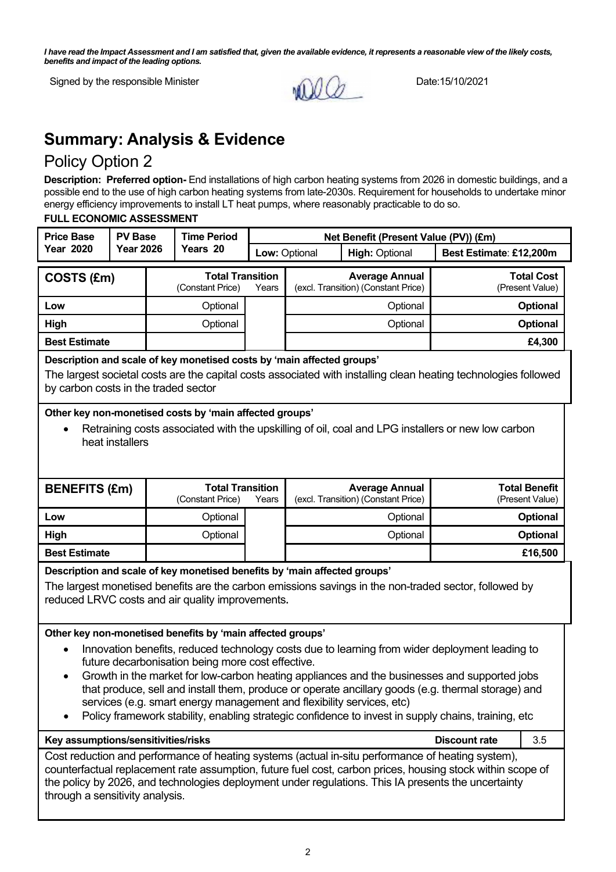*I have read the Impact Assessment and I am satisfied that, given the available evidence, it represents a reasonable view of the likely costs, benefits and impact of the leading options.*



# **Summary: Analysis & Evidence**

## Policy Option 2

**Description: Preferred option-** End installations of high carbon heating systems from 2026 in domestic buildings, and a possible end to the use of high carbon heating systems from late-2030s. Requirement for households to undertake minor energy efficiency improvements to install LT heat pumps, where reasonably practicable to do so.

#### **FULL ECONOMIC ASSESSMENT**

| <b>Price Base</b>                                                                                                                                                                                                                                                                                                                                                                                                                                                                                                                                                                                                                                                                                                                                                                                                                                                                                | <b>PV Base</b>                                                                                                                                                                                                                    |  | <b>Time Period</b>                                                                                                            |       | Net Benefit (Present Value (PV)) (£m)  |                                                                                                       |                         |                                         |
|--------------------------------------------------------------------------------------------------------------------------------------------------------------------------------------------------------------------------------------------------------------------------------------------------------------------------------------------------------------------------------------------------------------------------------------------------------------------------------------------------------------------------------------------------------------------------------------------------------------------------------------------------------------------------------------------------------------------------------------------------------------------------------------------------------------------------------------------------------------------------------------------------|-----------------------------------------------------------------------------------------------------------------------------------------------------------------------------------------------------------------------------------|--|-------------------------------------------------------------------------------------------------------------------------------|-------|----------------------------------------|-------------------------------------------------------------------------------------------------------|-------------------------|-----------------------------------------|
| <b>Year 2020</b>                                                                                                                                                                                                                                                                                                                                                                                                                                                                                                                                                                                                                                                                                                                                                                                                                                                                                 | <b>Year 2026</b>                                                                                                                                                                                                                  |  | Years 20                                                                                                                      |       | Low: Optional<br><b>High: Optional</b> |                                                                                                       | Best Estimate: £12,200m |                                         |
| COSTS (£m)                                                                                                                                                                                                                                                                                                                                                                                                                                                                                                                                                                                                                                                                                                                                                                                                                                                                                       |                                                                                                                                                                                                                                   |  | <b>Total Transition</b><br>(Constant Price)                                                                                   | Years |                                        | <b>Average Annual</b><br>(excl. Transition) (Constant Price)                                          |                         | <b>Total Cost</b><br>(Present Value)    |
| Low                                                                                                                                                                                                                                                                                                                                                                                                                                                                                                                                                                                                                                                                                                                                                                                                                                                                                              |                                                                                                                                                                                                                                   |  | Optional                                                                                                                      |       |                                        | Optional                                                                                              |                         | Optional                                |
| High                                                                                                                                                                                                                                                                                                                                                                                                                                                                                                                                                                                                                                                                                                                                                                                                                                                                                             |                                                                                                                                                                                                                                   |  | Optional                                                                                                                      |       |                                        | Optional                                                                                              |                         | Optional                                |
| <b>Best Estimate</b>                                                                                                                                                                                                                                                                                                                                                                                                                                                                                                                                                                                                                                                                                                                                                                                                                                                                             |                                                                                                                                                                                                                                   |  |                                                                                                                               |       |                                        |                                                                                                       |                         | £4,300                                  |
|                                                                                                                                                                                                                                                                                                                                                                                                                                                                                                                                                                                                                                                                                                                                                                                                                                                                                                  | Description and scale of key monetised costs by 'main affected groups'<br>The largest societal costs are the capital costs associated with installing clean heating technologies followed<br>by carbon costs in the traded sector |  |                                                                                                                               |       |                                        |                                                                                                       |                         |                                         |
| Other key non-monetised costs by 'main affected groups'<br>Retraining costs associated with the upskilling of oil, coal and LPG installers or new low carbon<br>heat installers                                                                                                                                                                                                                                                                                                                                                                                                                                                                                                                                                                                                                                                                                                                  |                                                                                                                                                                                                                                   |  |                                                                                                                               |       |                                        |                                                                                                       |                         |                                         |
| <b>BENEFITS (£m)</b>                                                                                                                                                                                                                                                                                                                                                                                                                                                                                                                                                                                                                                                                                                                                                                                                                                                                             |                                                                                                                                                                                                                                   |  | <b>Total Transition</b><br>(Constant Price)                                                                                   | Years |                                        | <b>Average Annual</b><br>(excl. Transition) (Constant Price)                                          |                         | <b>Total Benefit</b><br>(Present Value) |
| Low                                                                                                                                                                                                                                                                                                                                                                                                                                                                                                                                                                                                                                                                                                                                                                                                                                                                                              |                                                                                                                                                                                                                                   |  | Optional                                                                                                                      |       |                                        | Optional                                                                                              |                         | Optional                                |
| High                                                                                                                                                                                                                                                                                                                                                                                                                                                                                                                                                                                                                                                                                                                                                                                                                                                                                             |                                                                                                                                                                                                                                   |  | Optional                                                                                                                      |       |                                        | Optional                                                                                              |                         | Optional                                |
| <b>Best Estimate</b>                                                                                                                                                                                                                                                                                                                                                                                                                                                                                                                                                                                                                                                                                                                                                                                                                                                                             |                                                                                                                                                                                                                                   |  |                                                                                                                               |       | £16,500                                |                                                                                                       |                         |                                         |
|                                                                                                                                                                                                                                                                                                                                                                                                                                                                                                                                                                                                                                                                                                                                                                                                                                                                                                  |                                                                                                                                                                                                                                   |  | Description and scale of key monetised benefits by 'main affected groups'<br>reduced LRVC costs and air quality improvements. |       |                                        | The largest monetised benefits are the carbon emissions savings in the non-traded sector, followed by |                         |                                         |
| Other key non-monetised benefits by 'main affected groups'<br>Innovation benefits, reduced technology costs due to learning from wider deployment leading to<br>future decarbonisation being more cost effective.<br>Growth in the market for low-carbon heating appliances and the businesses and supported jobs<br>that produce, sell and install them, produce or operate ancillary goods (e.g. thermal storage) and<br>services (e.g. smart energy management and flexibility services, etc)<br>Policy framework stability, enabling strategic confidence to invest in supply chains, training, etc<br>Key assumptions/sensitivities/risks<br><b>Discount rate</b><br>3.5<br>Cost reduction and performance of heating systems (actual in-situ performance of heating system),<br>counterfactual replacement rate assumption, future fuel cost, carbon prices, housing stock within scope of |                                                                                                                                                                                                                                   |  |                                                                                                                               |       |                                        |                                                                                                       |                         |                                         |
|                                                                                                                                                                                                                                                                                                                                                                                                                                                                                                                                                                                                                                                                                                                                                                                                                                                                                                  | the policy by 2026, and technologies deployment under regulations. This IA presents the uncertainty<br>through a sensitivity analysis.                                                                                            |  |                                                                                                                               |       |                                        |                                                                                                       |                         |                                         |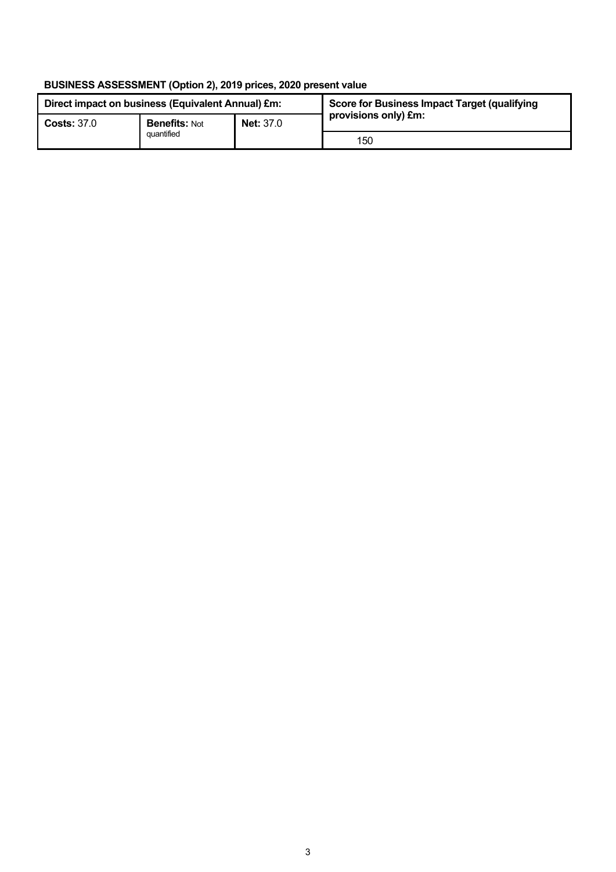### **BUSINESS ASSESSMENT (Option 2), 2019 prices, 2020 present value**

| Direct impact on business (Equivalent Annual) £m: |                      |                  | Score for Business Impact Target (qualifying |  |
|---------------------------------------------------|----------------------|------------------|----------------------------------------------|--|
| <b>Costs: 37.0</b>                                | <b>Benefits: Not</b> | <b>Net: 37.0</b> | provisions only) £m:                         |  |
|                                                   | quantified           |                  | 150                                          |  |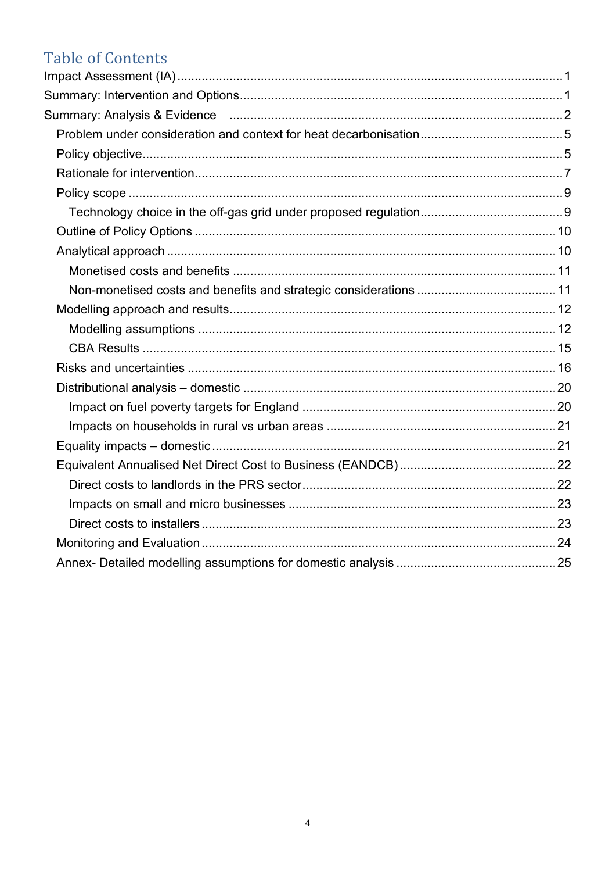# **Table of Contents**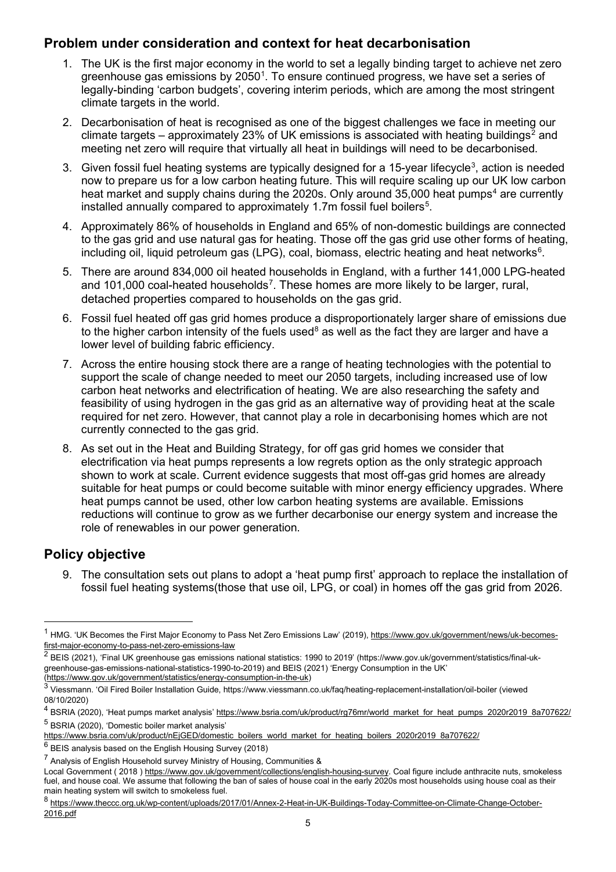## **Problem under consideration and context for heat decarbonisation**

- 1. The UK is the first major economy in the world to set a legally binding target to achieve net zero greenhouse gas emissions by 2050 $^{\rm 1}$  $^{\rm 1}$  $^{\rm 1}$ . To ensure continued progress, we have set a series of legally-binding 'carbon budgets', covering interim periods, which are among the most stringent climate targets in the world.
- 2. Decarbonisation of heat is recognised as one of the biggest challenges we face in meeting our climate targets – approximately [2](#page-4-1)3% of UK emissions is associated with heating buildings<sup>2</sup> and meeting net zero will require that virtually all heat in buildings will need to be decarbonised.
- [3](#page-4-2).  $\,$  Given fossil fuel heating systems are typically designed for a 15-year lifecycle $^3$ , action is needed now to prepare us for a low carbon heating future. This will require scaling up our UK low carbon heat market and supply chains during the 2020s. Only around  $35,000$  heat pumps<sup>[4](#page-4-3)</sup> are currently installed annually compared to approximately 1.7m fossil fuel boilers $^5\!$  $^5\!$  $^5\!$ .
- 4. Approximately 86% of households in England and 65% of non-domestic buildings are connected to the gas grid and use natural gas for heating. Those off the gas grid use other forms of heating, including oil, liquid petroleum gas (LPG), coal, biomass, electric heating and heat networks $\rm ^6$  $\rm ^6$ .
- 5. There are around 834,000 oil heated households in England, with a further 141,000 LPG-heated and 101,000 coal-heated households<sup>[7](#page-4-6)</sup>. These homes are more likely to be larger, rural, detached properties compared to households on the gas grid.
- 6. Fossil fuel heated off gas grid homes produce a disproportionately larger share of emissions due to the higher carbon intensity of the fuels used<sup>[8](#page-4-7)</sup> as well as the fact they are larger and have a lower level of building fabric efficiency.
- 7. Across the entire housing stock there are a range of heating technologies with the potential to support the scale of change needed to meet our 2050 targets, including increased use of low carbon heat networks and electrification of heating. We are also researching the safety and feasibility of using hydrogen in the gas grid as an alternative way of providing heat at the scale required for net zero. However, that cannot play a role in decarbonising homes which are not currently connected to the gas grid.
- 8. As set out in the Heat and Building Strategy, for off gas grid homes we consider that electrification via heat pumps represents a low regrets option as the only strategic approach shown to work at scale. Current evidence suggests that most off-gas grid homes are already suitable for heat pumps or could become suitable with minor energy efficiency upgrades. Where heat pumps cannot be used, other low carbon heating systems are available. Emissions reductions will continue to grow as we further decarbonise our energy system and increase the role of renewables in our power generation.

## **Policy objective**

9. The consultation sets out plans to adopt a 'heat pump first' approach to replace the installation of fossil fuel heating systems(those that use oil, LPG, or coal) in homes off the gas grid from 2026.

<span id="page-4-0"></span><sup>&</sup>lt;sup>1</sup> HMG. 'UK Becomes the First Major Economy to Pass Net Zero Emissions Law' (2019)[, https://www.gov.uk/government/news/uk-becomes](https://www.gov.uk/government/news/uk-becomes-first-major-economy-to-pass-net-zero-emissions-law)[first-major-economy-to-pass-net-zero-emissions-law](https://www.gov.uk/government/news/uk-becomes-first-major-economy-to-pass-net-zero-emissions-law)

<span id="page-4-1"></span> $2$  BEIS (2021), 'Final UK greenhouse gas emissions national statistics: 1990 to 2019' (https://www.gov.uk/government/statistics/final-ukgreenhouse-gas-emissions-national-statistics-1990-to-2019) and BEIS (2021) 'Energy Consumption in the UK' [\(https://www.gov.uk/government/statistics/energy-consumption-in-the-uk\)](https://www.gov.uk/government/statistics/energy-consumption-in-the-uk)

<span id="page-4-2"></span><sup>3</sup> Viessmann. 'Oil Fired Boiler Installation Guide, https://www.viessmann.co.uk/faq/heating-replacement-installation/oil-boiler (viewed 08/10/2020)

<span id="page-4-3"></span><sup>&</sup>lt;sup>4</sup> BSRIA (2020), 'Heat pumps market analysis[' https://www.bsria.com/uk/product/rg76mr/world\\_market\\_for\\_heat\\_pumps\\_2020r2019\\_8a707622/](https://www.bsria.com/uk/product/rg76mr/world_market_for_heat_pumps_2020r2019_8a707622/) <sup>5</sup> BSRIA (2020), 'Domestic boiler market analysis'

<span id="page-4-4"></span>[https://www.bsria.com/uk/product/nEjGED/domestic\\_boilers\\_world\\_market\\_for\\_heating\\_boilers\\_2020r2019\\_8a707622/](https://www.bsria.com/uk/product/nEjGED/domestic_boilers_world_market_for_heating_boilers_2020r2019_8a707622/)

<span id="page-4-5"></span> $6$  BEIS analysis based on the English Housing Survey (2018)

<span id="page-4-6"></span><sup>7</sup> Analysis of English Household survey Ministry of Housing, Communities &

Local Government ( 2018 ) [https://www.gov.uk/government/collections/english-housing-survey.](https://www.gov.uk/government/collections/english-housing-survey) Coal figure include anthracite nuts, smokeless fuel, and house coal. We assume that following the ban of sales of house coal in the early 2020s most households using house coal as their main heating system will switch to smokeless fuel.

<span id="page-4-7"></span><sup>8</sup> [https://www.theccc.org.uk/wp-content/uploads/2017/01/Annex-2-Heat-in-UK-Buildings-Today-Committee-on-Climate-Change-October-](https://www.theccc.org.uk/wp-content/uploads/2017/01/Annex-2-Heat-in-UK-Buildings-Today-Committee-on-Climate-Change-October-2016.pdf)[2016.pdf](https://www.theccc.org.uk/wp-content/uploads/2017/01/Annex-2-Heat-in-UK-Buildings-Today-Committee-on-Climate-Change-October-2016.pdf)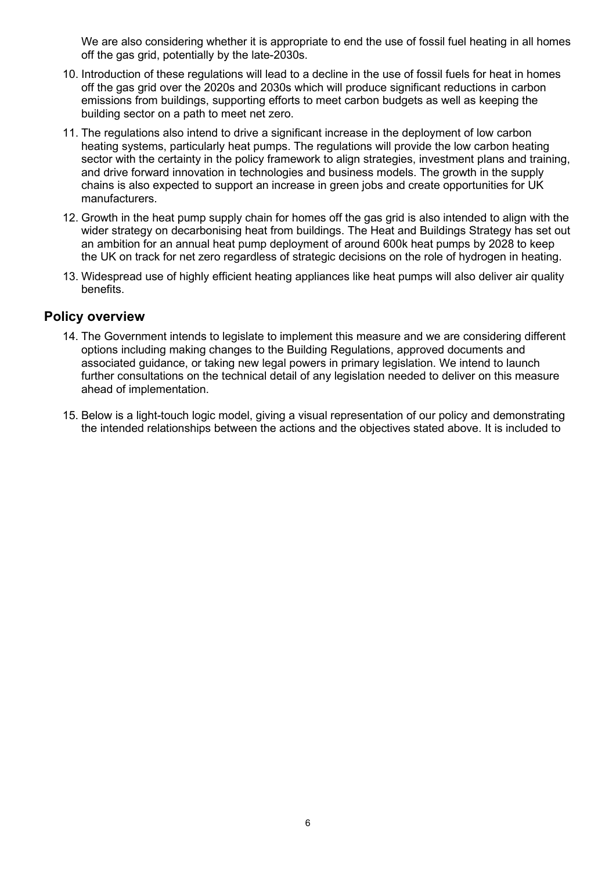We are also considering whether it is appropriate to end the use of fossil fuel heating in all homes off the gas grid, potentially by the late-2030s.

- 10. Introduction of these regulations will lead to a decline in the use of fossil fuels for heat in homes off the gas grid over the 2020s and 2030s which will produce significant reductions in carbon emissions from buildings, supporting efforts to meet carbon budgets as well as keeping the building sector on a path to meet net zero.
- 11. The regulations also intend to drive a significant increase in the deployment of low carbon heating systems, particularly heat pumps. The regulations will provide the low carbon heating sector with the certainty in the policy framework to align strategies, investment plans and training, and drive forward innovation in technologies and business models. The growth in the supply chains is also expected to support an increase in green jobs and create opportunities for UK manufacturers.
- 12. Growth in the heat pump supply chain for homes off the gas grid is also intended to align with the wider strategy on decarbonising heat from buildings. The Heat and Buildings Strategy has set out an ambition for an annual heat pump deployment of around 600k heat pumps by 2028 to keep the UK on track for net zero regardless of strategic decisions on the role of hydrogen in heating.
- 13. Widespread use of highly efficient heating appliances like heat pumps will also deliver air quality benefits.

#### **Policy overview**

- 14. The Government intends to legislate to implement this measure and we are considering different options including making changes to the Building Regulations, approved documents and associated guidance, or taking new legal powers in primary legislation. We intend to launch further consultations on the technical detail of any legislation needed to deliver on this measure ahead of implementation.
- 15. Below is a light-touch logic model, giving a visual representation of our policy and demonstrating the intended relationships between the actions and the objectives stated above. It is included to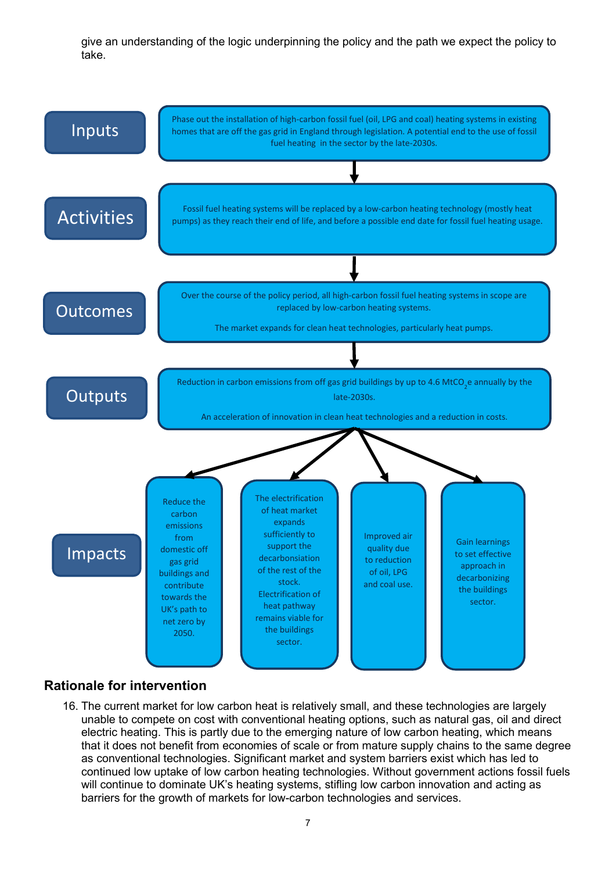give an understanding of the logic underpinning the policy and the path we expect the policy to take.



### **Rationale for intervention**

16. The current market for low carbon heat is relatively small, and these technologies are largely unable to compete on cost with conventional heating options, such as natural gas, oil and direct electric heating. This is partly due to the emerging nature of low carbon heating, which means that it does not benefit from economies of scale or from mature supply chains to the same degree as conventional technologies. Significant market and system barriers exist which has led to continued low uptake of low carbon heating technologies. Without government actions fossil fuels will continue to dominate UK's heating systems, stifling low carbon innovation and acting as barriers for the growth of markets for low-carbon technologies and services.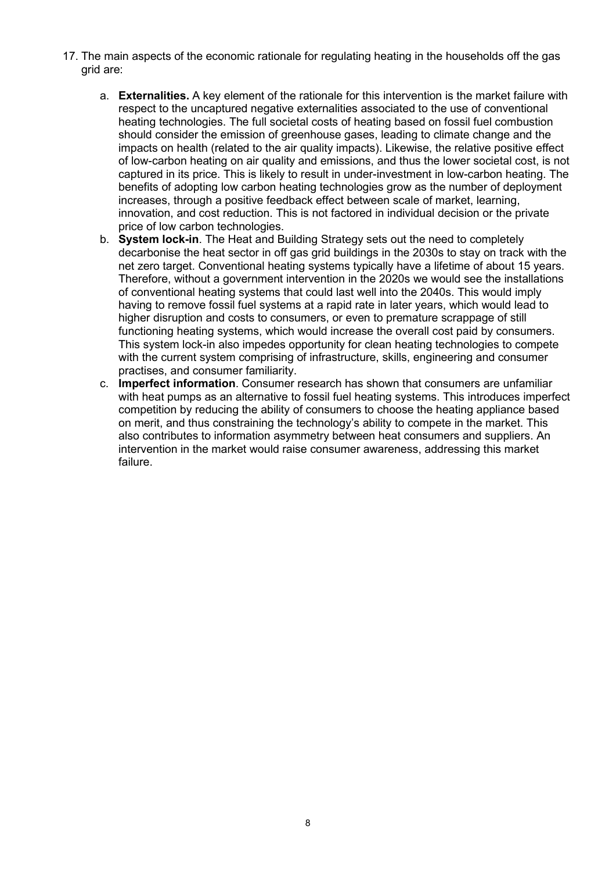- 17. The main aspects of the economic rationale for regulating heating in the households off the gas grid are:
	- a. **Externalities.** A key element of the rationale for this intervention is the market failure with respect to the uncaptured negative externalities associated to the use of conventional heating technologies. The full societal costs of heating based on fossil fuel combustion should consider the emission of greenhouse gases, leading to climate change and the impacts on health (related to the air quality impacts). Likewise, the relative positive effect of low-carbon heating on air quality and emissions, and thus the lower societal cost, is not captured in its price. This is likely to result in under-investment in low-carbon heating. The benefits of adopting low carbon heating technologies grow as the number of deployment increases, through a positive feedback effect between scale of market, learning, innovation, and cost reduction. This is not factored in individual decision or the private price of low carbon technologies.
	- b. **System lock-in**. The Heat and Building Strategy sets out the need to completely decarbonise the heat sector in off gas grid buildings in the 2030s to stay on track with the net zero target. Conventional heating systems typically have a lifetime of about 15 years. Therefore, without a government intervention in the 2020s we would see the installations of conventional heating systems that could last well into the 2040s. This would imply having to remove fossil fuel systems at a rapid rate in later years, which would lead to higher disruption and costs to consumers, or even to premature scrappage of still functioning heating systems, which would increase the overall cost paid by consumers. This system lock-in also impedes opportunity for clean heating technologies to compete with the current system comprising of infrastructure, skills, engineering and consumer practises, and consumer familiarity.
	- c. **Imperfect information**. Consumer research has shown that consumers are unfamiliar with heat pumps as an alternative to fossil fuel heating systems. This introduces imperfect competition by reducing the ability of consumers to choose the heating appliance based on merit, and thus constraining the technology's ability to compete in the market. This also contributes to information asymmetry between heat consumers and suppliers. An intervention in the market would raise consumer awareness, addressing this market failure.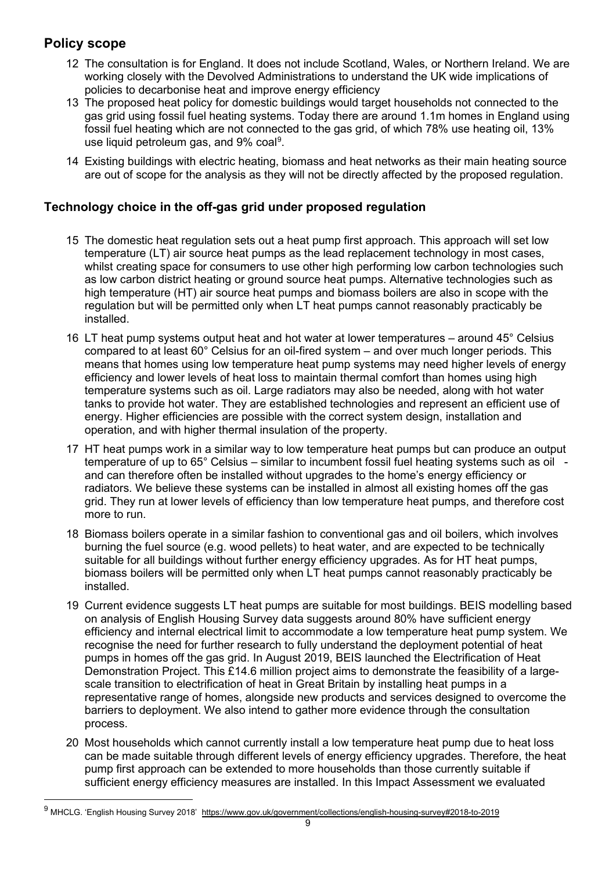## **Policy scope**

- 12 The consultation is for England. It does not include Scotland, Wales, or Northern Ireland. We are working closely with the Devolved Administrations to understand the UK wide implications of policies to decarbonise heat and improve energy efficiency
- 13 The proposed heat policy for domestic buildings would target households not connected to the gas grid using fossil fuel heating systems. Today there are around 1.1m homes in England using fossil fuel heating which are not connected to the gas grid, of which 78% use heating oil, 13% use liquid petroleum gas, and [9](#page-8-0)% coal $^{\rm 9}$ .
- 14 Existing buildings with electric heating, biomass and heat networks as their main heating source are out of scope for the analysis as they will not be directly affected by the proposed regulation.

## **Technology choice in the off-gas grid under proposed regulation**

- 15 The domestic heat regulation sets out a heat pump first approach. This approach will set low temperature (LT) air source heat pumps as the lead replacement technology in most cases, whilst creating space for consumers to use other high performing low carbon technologies such as low carbon district heating or ground source heat pumps. Alternative technologies such as high temperature (HT) air source heat pumps and biomass boilers are also in scope with the regulation but will be permitted only when LT heat pumps cannot reasonably practicably be installed.
- 16 LT heat pump systems output heat and hot water at lower temperatures around 45° Celsius compared to at least 60° Celsius for an oil-fired system – and over much longer periods. This means that homes using low temperature heat pump systems may need higher levels of energy efficiency and lower levels of heat loss to maintain thermal comfort than homes using high temperature systems such as oil. Large radiators may also be needed, along with hot water tanks to provide hot water. They are established technologies and represent an efficient use of energy. Higher efficiencies are possible with the correct system design, installation and operation, and with higher thermal insulation of the property.
- 17 HT heat pumps work in a similar way to low temperature heat pumps but can produce an output temperature of up to 65° Celsius – similar to incumbent fossil fuel heating systems such as oil and can therefore often be installed without upgrades to the home's energy efficiency or radiators. We believe these systems can be installed in almost all existing homes off the gas grid. They run at lower levels of efficiency than low temperature heat pumps, and therefore cost more to run.
- 18 Biomass boilers operate in a similar fashion to conventional gas and oil boilers, which involves burning the fuel source (e.g. wood pellets) to heat water, and are expected to be technically suitable for all buildings without further energy efficiency upgrades. As for HT heat pumps, biomass boilers will be permitted only when LT heat pumps cannot reasonably practicably be installed.
- 19 Current evidence suggests LT heat pumps are suitable for most buildings. BEIS modelling based on analysis of English Housing Survey data suggests around 80% have sufficient energy efficiency and internal electrical limit to accommodate a low temperature heat pump system. We recognise the need for further research to fully understand the deployment potential of heat pumps in homes off the gas grid. In August 2019, BEIS launched the Electrification of Heat Demonstration Project. This £14.6 million project aims to demonstrate the feasibility of a largescale transition to electrification of heat in Great Britain by installing heat pumps in a representative range of homes, alongside new products and services designed to overcome the barriers to deployment. We also intend to gather more evidence through the consultation process.
- 20 Most households which cannot currently install a low temperature heat pump due to heat loss can be made suitable through different levels of energy efficiency upgrades. Therefore, the heat pump first approach can be extended to more households than those currently suitable if sufficient energy efficiency measures are installed. In this Impact Assessment we evaluated

<span id="page-8-0"></span><sup>9</sup> MHCLG. 'English Housing Survey 2018' <https://www.gov.uk/government/collections/english-housing-survey#2018-to-2019>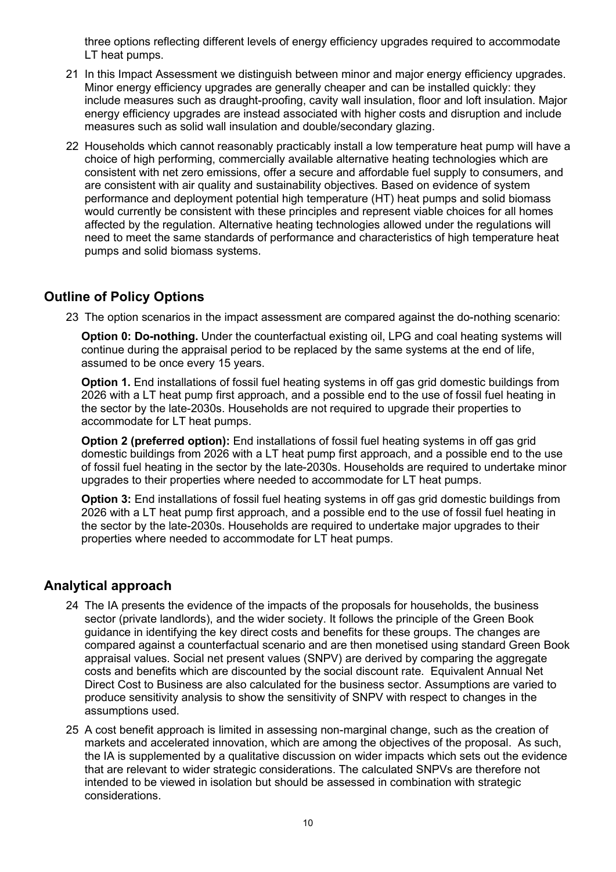three options reflecting different levels of energy efficiency upgrades required to accommodate LT heat pumps.

- 21 In this Impact Assessment we distinguish between minor and major energy efficiency upgrades. Minor energy efficiency upgrades are generally cheaper and can be installed quickly: they include measures such as draught-proofing, cavity wall insulation, floor and loft insulation. Major energy efficiency upgrades are instead associated with higher costs and disruption and include measures such as solid wall insulation and double/secondary glazing.
- 22 Households which cannot reasonably practicably install a low temperature heat pump will have a choice of high performing, commercially available alternative heating technologies which are consistent with net zero emissions, offer a secure and affordable fuel supply to consumers, and are consistent with air quality and sustainability objectives. Based on evidence of system performance and deployment potential high temperature (HT) heat pumps and solid biomass would currently be consistent with these principles and represent viable choices for all homes affected by the regulation. Alternative heating technologies allowed under the regulations will need to meet the same standards of performance and characteristics of high temperature heat pumps and solid biomass systems.

### **Outline of Policy Options**

23 The option scenarios in the impact assessment are compared against the do-nothing scenario:

**Option 0: Do-nothing.** Under the counterfactual existing oil, LPG and coal heating systems will continue during the appraisal period to be replaced by the same systems at the end of life, assumed to be once every 15 years.

**Option 1.** End installations of fossil fuel heating systems in off gas grid domestic buildings from 2026 with a LT heat pump first approach, and a possible end to the use of fossil fuel heating in the sector by the late-2030s. Households are not required to upgrade their properties to accommodate for LT heat pumps.

**Option 2 (preferred option):** End installations of fossil fuel heating systems in off gas grid domestic buildings from 2026 with a LT heat pump first approach, and a possible end to the use of fossil fuel heating in the sector by the late-2030s. Households are required to undertake minor upgrades to their properties where needed to accommodate for LT heat pumps.

**Option 3:** End installations of fossil fuel heating systems in off gas grid domestic buildings from 2026 with a LT heat pump first approach, and a possible end to the use of fossil fuel heating in the sector by the late-2030s. Households are required to undertake major upgrades to their properties where needed to accommodate for LT heat pumps.

### **Analytical approach**

- 24 The IA presents the evidence of the impacts of the proposals for households, the business sector (private landlords), and the wider society. It follows the principle of the Green Book guidance in identifying the key direct costs and benefits for these groups. The changes are compared against a counterfactual scenario and are then monetised using standard Green Book appraisal values. Social net present values (SNPV) are derived by comparing the aggregate costs and benefits which are discounted by the social discount rate. Equivalent Annual Net Direct Cost to Business are also calculated for the business sector. Assumptions are varied to produce sensitivity analysis to show the sensitivity of SNPV with respect to changes in the assumptions used.
- 25 A cost benefit approach is limited in assessing non-marginal change, such as the creation of markets and accelerated innovation, which are among the objectives of the proposal. As such, the IA is supplemented by a qualitative discussion on wider impacts which sets out the evidence that are relevant to wider strategic considerations. The calculated SNPVs are therefore not intended to be viewed in isolation but should be assessed in combination with strategic considerations.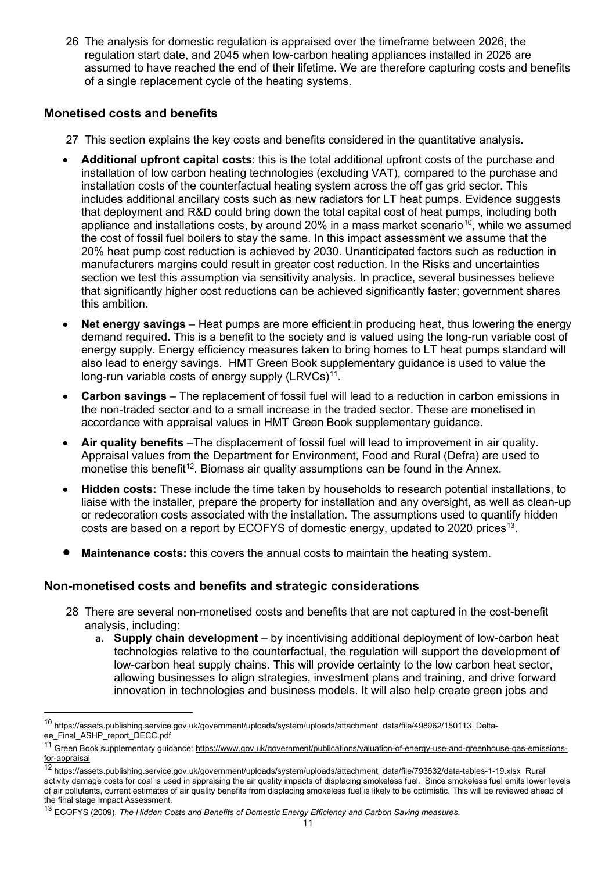26 The analysis for domestic regulation is appraised over the timeframe between 2026, the regulation start date, and 2045 when low-carbon heating appliances installed in 2026 are assumed to have reached the end of their lifetime. We are therefore capturing costs and benefits of a single replacement cycle of the heating systems.

#### **Monetised costs and benefits**

- 27 This section explains the key costs and benefits considered in the quantitative analysis.
- **Additional upfront capital costs**: this is the total additional upfront costs of the purchase and installation of low carbon heating technologies (excluding VAT), compared to the purchase and installation costs of the counterfactual heating system across the off gas grid sector. This includes additional ancillary costs such as new radiators for LT heat pumps. Evidence suggests that deployment and R&D could bring down the total capital cost of heat pumps, including both appliance and installations costs, by around 20% in a mass market scenario<sup>[10](#page-10-0)</sup>, while we assumed the cost of fossil fuel boilers to stay the same. In this impact assessment we assume that the 20% heat pump cost reduction is achieved by 2030. Unanticipated factors such as reduction in manufacturers margins could result in greater cost reduction. In the Risks and uncertainties section we test this assumption via sensitivity analysis. In practice, several businesses believe that significantly higher cost reductions can be achieved significantly faster; government shares this ambition.
- **Net energy savings** Heat pumps are more efficient in producing heat, thus lowering the energy demand required. This is a benefit to the society and is valued using the long-run variable cost of energy supply. Energy efficiency measures taken to bring homes to LT heat pumps standard will also lead to energy savings. HMT Green Book supplementary guidance is used to value the long-run variable costs of energy supply (LRVCs)<sup>11</sup>.
- **Carbon savings** The replacement of fossil fuel will lead to a reduction in carbon emissions in the non-traded sector and to a small increase in the traded sector. These are monetised in accordance with appraisal values in HMT Green Book supplementary guidance.
- **Air quality benefits** –The displacement of fossil fuel will lead to improvement in air quality. Appraisal values from the Department for Environment, Food and Rural (Defra) are used to monetise this benefit<sup>12</sup>. Biomass air quality assumptions can be found in the Annex.
- **Hidden costs:** These include the time taken by households to research potential installations, to liaise with the installer, prepare the property for installation and any oversight, as well as clean-up or redecoration costs associated with the installation. The assumptions used to quantify hidden costs are based on a report by ECOFYS of domestic energy, updated to 2020 prices<sup>13</sup>.
- **Maintenance costs:** this covers the annual costs to maintain the heating system.

### **Non-monetised costs and benefits and strategic considerations**

- 28 There are several non-monetised costs and benefits that are not captured in the cost-benefit analysis, including:
	- **a. Supply chain development** by incentivising additional deployment of low-carbon heat technologies relative to the counterfactual, the regulation will support the development of low-carbon heat supply chains. This will provide certainty to the low carbon heat sector, allowing businesses to align strategies, investment plans and training, and drive forward innovation in technologies and business models. It will also help create green jobs and

<span id="page-10-0"></span><sup>10</sup> https://assets.publishing.service.gov.uk/government/uploads/system/uploads/attachment\_data/file/498962/150113\_Deltaee\_Final\_ASHP\_report\_DECC.pdf

<span id="page-10-1"></span><sup>&</sup>lt;sup>11</sup> Green Book supplementary guidance: [https://www.gov.uk/government/publications/valuation-of-energy-use-and-greenhouse-gas-emissions](https://www.gov.uk/government/publications/valuation-of-energy-use-and-greenhouse-gas-emissions-for-appraisal)[for-appraisal](https://www.gov.uk/government/publications/valuation-of-energy-use-and-greenhouse-gas-emissions-for-appraisal)

<span id="page-10-2"></span><sup>12</sup> https://assets.publishing.service.gov.uk/government/uploads/system/uploads/attachment\_data/file/793632/data-tables-1-19.xlsx Rural activity damage costs for coal is used in appraising the air quality impacts of displacing smokeless fuel. Since smokeless fuel emits lower levels of air pollutants, current estimates of air quality benefits from displacing smokeless fuel is likely to be optimistic. This will be reviewed ahead of the final stage Impact Assessment.

<span id="page-10-3"></span><sup>13</sup> ECOFYS (2009). *The Hidden Costs and Benefits of Domestic Energy Efficiency and Carbon Saving measures*.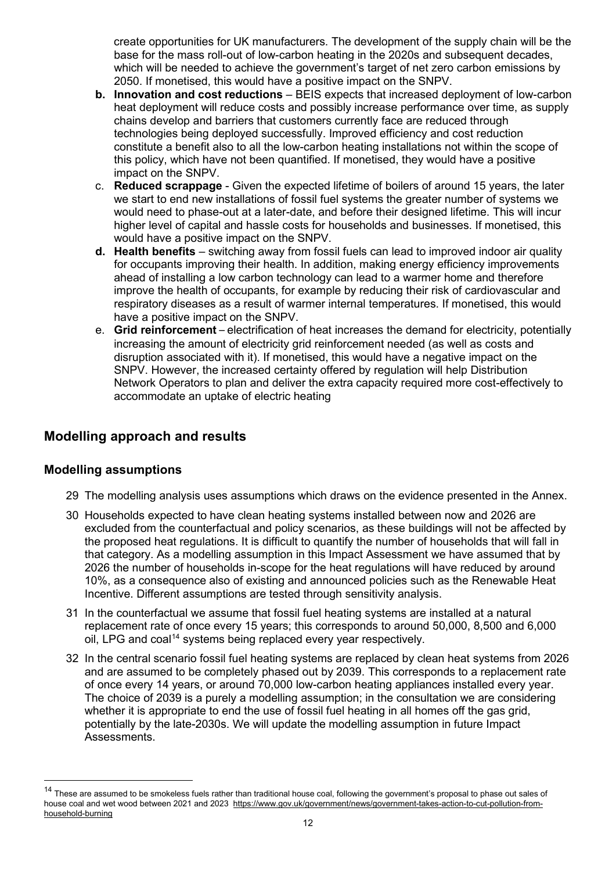create opportunities for UK manufacturers. The development of the supply chain will be the base for the mass roll-out of low-carbon heating in the 2020s and subsequent decades, which will be needed to achieve the government's target of net zero carbon emissions by 2050. If monetised, this would have a positive impact on the SNPV.

- **b. Innovation and cost reductions** BEIS expects that increased deployment of low-carbon heat deployment will reduce costs and possibly increase performance over time, as supply chains develop and barriers that customers currently face are reduced through technologies being deployed successfully. Improved efficiency and cost reduction constitute a benefit also to all the low-carbon heating installations not within the scope of this policy, which have not been quantified. If monetised, they would have a positive impact on the SNPV.
- c. **Reduced scrappage**  Given the expected lifetime of boilers of around 15 years, the later we start to end new installations of fossil fuel systems the greater number of systems we would need to phase-out at a later-date, and before their designed lifetime. This will incur higher level of capital and hassle costs for households and businesses. If monetised, this would have a positive impact on the SNPV.
- **d. Health benefits** switching away from fossil fuels can lead to improved indoor air quality for occupants improving their health. In addition, making energy efficiency improvements ahead of installing a low carbon technology can lead to a warmer home and therefore improve the health of occupants, for example by reducing their risk of cardiovascular and respiratory diseases as a result of warmer internal temperatures. If monetised, this would have a positive impact on the SNPV.
- e. **Grid reinforcement** electrification of heat increases the demand for electricity, potentially increasing the amount of electricity grid reinforcement needed (as well as costs and disruption associated with it). If monetised, this would have a negative impact on the SNPV. However, the increased certainty offered by regulation will help Distribution Network Operators to plan and deliver the extra capacity required more cost-effectively to accommodate an uptake of electric heating

## **Modelling approach and results**

#### **Modelling assumptions**

- 29 The modelling analysis uses assumptions which draws on the evidence presented in the Annex.
- 30 Households expected to have clean heating systems installed between now and 2026 are excluded from the counterfactual and policy scenarios, as these buildings will not be affected by the proposed heat regulations. It is difficult to quantify the number of households that will fall in that category. As a modelling assumption in this Impact Assessment we have assumed that by 2026 the number of households in-scope for the heat regulations will have reduced by around 10%, as a consequence also of existing and announced policies such as the Renewable Heat Incentive. Different assumptions are tested through sensitivity analysis.
- 31 In the counterfactual we assume that fossil fuel heating systems are installed at a natural replacement rate of once every 15 years; this corresponds to around 50,000, 8,500 and 6,000 oil, LPG and coal<sup>[14](#page-11-0)</sup> systems being replaced every year respectively.
- 32 In the central scenario fossil fuel heating systems are replaced by clean heat systems from 2026 and are assumed to be completely phased out by 2039. This corresponds to a replacement rate of once every 14 years, or around 70,000 low-carbon heating appliances installed every year. The choice of 2039 is a purely a modelling assumption; in the consultation we are considering whether it is appropriate to end the use of fossil fuel heating in all homes off the gas grid, potentially by the late-2030s. We will update the modelling assumption in future Impact Assessments.

<span id="page-11-0"></span><sup>&</sup>lt;sup>14</sup> These are assumed to be smokeless fuels rather than traditional house coal, following the government's proposal to phase out sales of house coal and wet wood between 2021 and 2023 [https://www.gov.uk/government/news/government-takes-action-to-cut-pollution-from](https://www.gov.uk/government/news/government-takes-action-to-cut-pollution-from-household-burning)[household-burning](https://www.gov.uk/government/news/government-takes-action-to-cut-pollution-from-household-burning)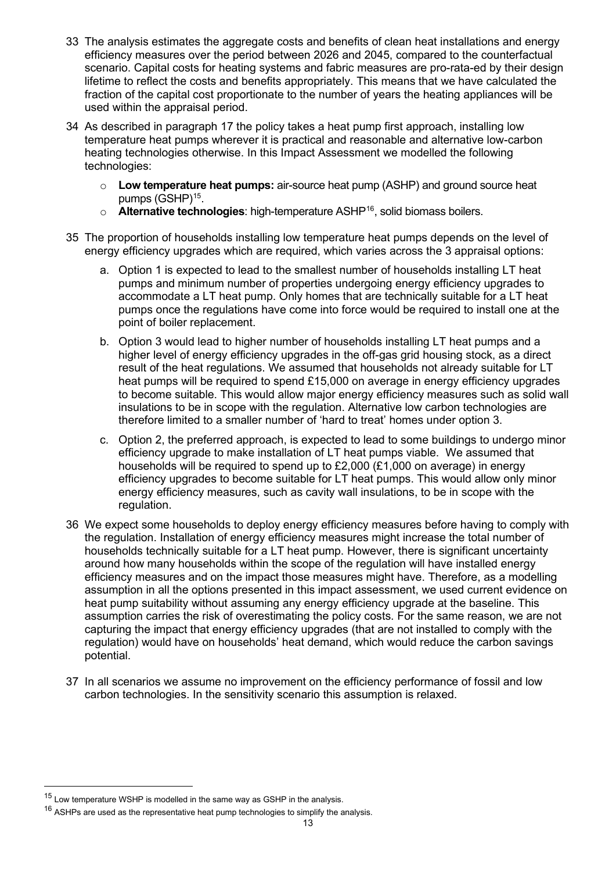- 33 The analysis estimates the aggregate costs and benefits of clean heat installations and energy efficiency measures over the period between 2026 and 2045, compared to the counterfactual scenario. Capital costs for heating systems and fabric measures are pro-rata-ed by their design lifetime to reflect the costs and benefits appropriately. This means that we have calculated the fraction of the capital cost proportionate to the number of years the heating appliances will be used within the appraisal period.
- 34 As described in paragraph 17 the policy takes a heat pump first approach, installing low temperature heat pumps wherever it is practical and reasonable and alternative low-carbon heating technologies otherwise. In this Impact Assessment we modelled the following technologies:
	- o **Low temperature heat pumps:** air-source heat pump (ASHP) and ground source heat pumps (GSHP)<sup>[15](#page-12-0)</sup>.
	- o **Alternative technologies**: high-temperature ASHP[16,](#page-12-1) solid biomass boilers.
- 35 The proportion of households installing low temperature heat pumps depends on the level of energy efficiency upgrades which are required, which varies across the 3 appraisal options:
	- a. Option 1 is expected to lead to the smallest number of households installing LT heat pumps and minimum number of properties undergoing energy efficiency upgrades to accommodate a LT heat pump. Only homes that are technically suitable for a LT heat pumps once the regulations have come into force would be required to install one at the point of boiler replacement.
	- b. Option 3 would lead to higher number of households installing LT heat pumps and a higher level of energy efficiency upgrades in the off-gas grid housing stock, as a direct result of the heat regulations. We assumed that households not already suitable for LT heat pumps will be required to spend £15,000 on average in energy efficiency upgrades to become suitable. This would allow major energy efficiency measures such as solid wall insulations to be in scope with the regulation. Alternative low carbon technologies are therefore limited to a smaller number of 'hard to treat' homes under option 3.
	- c. Option 2, the preferred approach, is expected to lead to some buildings to undergo minor efficiency upgrade to make installation of LT heat pumps viable. We assumed that households will be required to spend up to £2,000 (£1,000 on average) in energy efficiency upgrades to become suitable for LT heat pumps. This would allow only minor energy efficiency measures, such as cavity wall insulations, to be in scope with the regulation.
- 36 We expect some households to deploy energy efficiency measures before having to comply with the regulation. Installation of energy efficiency measures might increase the total number of households technically suitable for a LT heat pump. However, there is significant uncertainty around how many households within the scope of the regulation will have installed energy efficiency measures and on the impact those measures might have. Therefore, as a modelling assumption in all the options presented in this impact assessment, we used current evidence on heat pump suitability without assuming any energy efficiency upgrade at the baseline. This assumption carries the risk of overestimating the policy costs. For the same reason, we are not capturing the impact that energy efficiency upgrades (that are not installed to comply with the regulation) would have on households' heat demand, which would reduce the carbon savings potential.
- 37 In all scenarios we assume no improvement on the efficiency performance of fossil and low carbon technologies. In the sensitivity scenario this assumption is relaxed.

<span id="page-12-0"></span><sup>&</sup>lt;sup>15</sup> Low temperature WSHP is modelled in the same way as GSHP in the analysis.

<span id="page-12-1"></span> $16$  ASHPs are used as the representative heat pump technologies to simplify the analysis.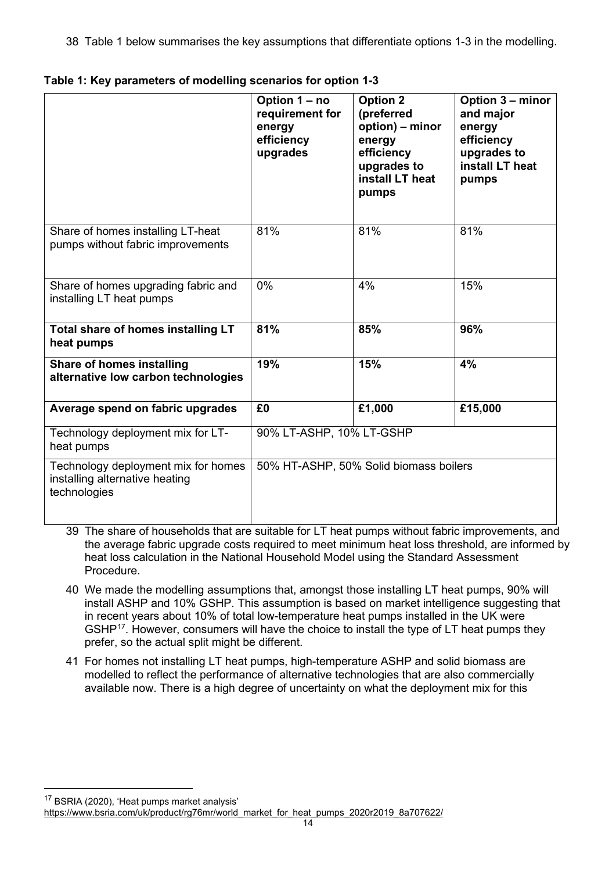38 Table 1 below summarises the key assumptions that differentiate options 1-3 in the modelling.

|                                                                                       | Option 1 - no<br>requirement for<br>energy<br>efficiency<br>upgrades | <b>Option 2</b><br>(preferred<br>option) – minor<br>energy<br>efficiency<br>upgrades to<br>install LT heat<br>pumps | Option 3 - minor<br>and major<br>energy<br>efficiency<br>upgrades to<br>install LT heat<br>pumps |
|---------------------------------------------------------------------------------------|----------------------------------------------------------------------|---------------------------------------------------------------------------------------------------------------------|--------------------------------------------------------------------------------------------------|
| Share of homes installing LT-heat<br>pumps without fabric improvements                | 81%                                                                  | 81%                                                                                                                 | 81%                                                                                              |
| Share of homes upgrading fabric and<br>installing LT heat pumps                       | 0%                                                                   | 4%                                                                                                                  | 15%                                                                                              |
| Total share of homes installing LT<br>heat pumps                                      | 81%                                                                  | 85%                                                                                                                 | 96%                                                                                              |
| <b>Share of homes installing</b><br>alternative low carbon technologies               | 19%                                                                  | 15%                                                                                                                 | 4%                                                                                               |
| Average spend on fabric upgrades                                                      | £0                                                                   | £1,000                                                                                                              | £15,000                                                                                          |
| Technology deployment mix for LT-<br>heat pumps                                       | 90% LT-ASHP, 10% LT-GSHP                                             |                                                                                                                     |                                                                                                  |
| Technology deployment mix for homes<br>installing alternative heating<br>technologies | 50% HT-ASHP, 50% Solid biomass boilers                               |                                                                                                                     |                                                                                                  |

|  | Table 1: Key parameters of modelling scenarios for option 1-3 |  |  |
|--|---------------------------------------------------------------|--|--|
|--|---------------------------------------------------------------|--|--|

- 39 The share of households that are suitable for LT heat pumps without fabric improvements, and the average fabric upgrade costs required to meet minimum heat loss threshold, are informed by heat loss calculation in the National Household Model using the Standard Assessment Procedure.
- 40 We made the modelling assumptions that, amongst those installing LT heat pumps, 90% will install ASHP and 10% GSHP. This assumption is based on market intelligence suggesting that in recent years about 10% of total low-temperature heat pumps installed in the UK were GSHP<sup>[17](#page-13-0)</sup>. However, consumers will have the choice to install the type of LT heat pumps they prefer, so the actual split might be different.
- 41 For homes not installing LT heat pumps, high-temperature ASHP and solid biomass are modelled to reflect the performance of alternative technologies that are also commercially available now. There is a high degree of uncertainty on what the deployment mix for this

<span id="page-13-0"></span><sup>17</sup> BSRIA (2020), 'Heat pumps market analysis'

[https://www.bsria.com/uk/product/rg76mr/world\\_market\\_for\\_heat\\_pumps\\_2020r2019\\_8a707622/](https://www.bsria.com/uk/product/rg76mr/world_market_for_heat_pumps_2020r2019_8a707622/)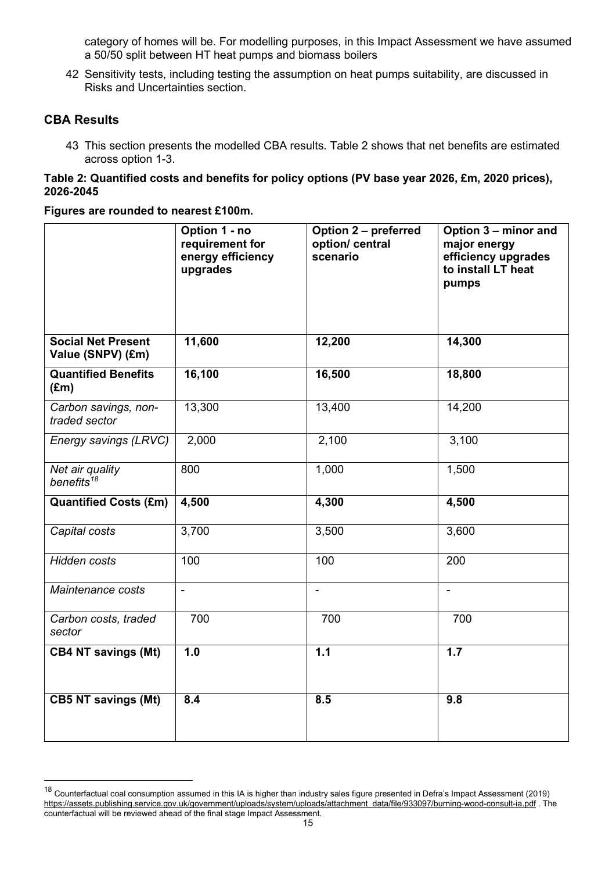category of homes will be. For modelling purposes, in this Impact Assessment we have assumed a 50/50 split between HT heat pumps and biomass boilers

42 Sensitivity tests, including testing the assumption on heat pumps suitability, are discussed in Risks and Uncertainties section.

#### **CBA Results**

43 This section presents the modelled CBA results. Table 2 shows that net benefits are estimated across option 1-3.

#### **Table 2: Quantified costs and benefits for policy options (PV base year 2026, £m, 2020 prices), 2026-2045**

#### **Figures are rounded to nearest £100m.**

|                                                | Option 1 - no<br>requirement for<br>energy efficiency<br>upgrades | Option 2 - preferred<br>option/ central<br>scenario | Option 3 - minor and<br>major energy<br>efficiency upgrades<br>to install LT heat<br>pumps |
|------------------------------------------------|-------------------------------------------------------------------|-----------------------------------------------------|--------------------------------------------------------------------------------------------|
| <b>Social Net Present</b><br>Value (SNPV) (£m) | 11,600                                                            | 12,200                                              | 14,300                                                                                     |
| <b>Quantified Benefits</b><br>$(\text{Em})$    | 16,100                                                            | 16,500                                              | 18,800                                                                                     |
| Carbon savings, non-<br>traded sector          | 13,300                                                            | 13,400                                              | 14,200                                                                                     |
| Energy savings (LRVC)                          | 2,000                                                             | 2,100                                               | 3,100                                                                                      |
| Net air quality<br>benefits <sup>18</sup>      | 800                                                               | 1,000                                               | 1,500                                                                                      |
| <b>Quantified Costs (£m)</b>                   | 4,500                                                             | 4,300                                               | 4,500                                                                                      |
| Capital costs                                  | 3,700                                                             | 3,500                                               | 3,600                                                                                      |
| Hidden costs                                   | 100                                                               | 100                                                 | 200                                                                                        |
| Maintenance costs                              | $\blacksquare$                                                    | $\overline{\phantom{0}}$                            | $\blacksquare$                                                                             |
| Carbon costs, traded<br>sector                 | 700                                                               | 700                                                 | 700                                                                                        |
| <b>CB4 NT savings (Mt)</b>                     | 1.0                                                               | 1.1                                                 | 1.7                                                                                        |
| <b>CB5 NT savings (Mt)</b>                     | 8.4                                                               | 8.5                                                 | 9.8                                                                                        |

<span id="page-14-0"></span> $18$  Counterfactual coal consumption assumed in this IA is higher than industry sales figure presented in Defra's Impact Assessment (2019) [https://assets.publishing.service.gov.uk/government/uploads/system/uploads/attachment\\_data/file/933097/burning-wood-consult-ia.pdf](https://assets.publishing.service.gov.uk/government/uploads/system/uploads/attachment_data/file/933097/burning-wood-consult-ia.pdf) . The counterfactual will be reviewed ahead of the final stage Impact Assessment.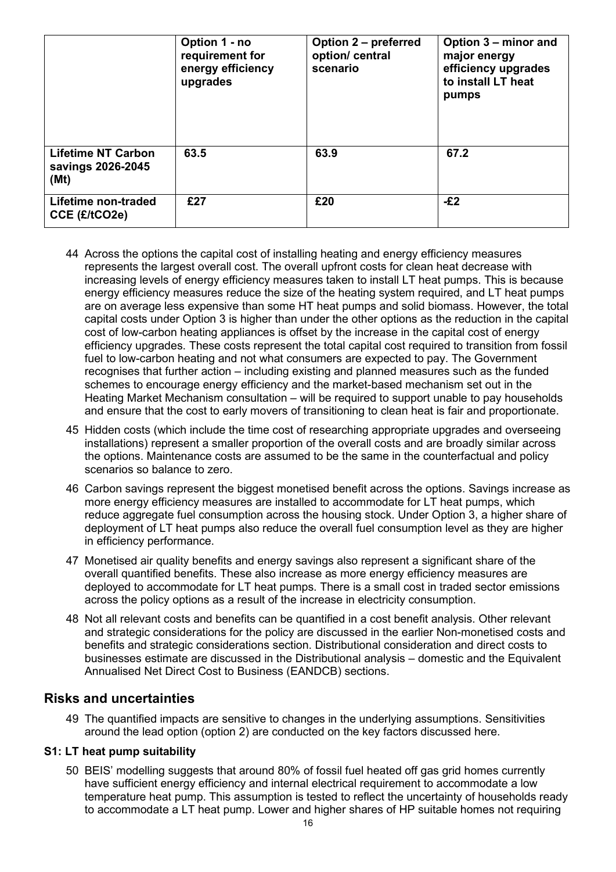|                                                        | Option 1 - no<br>requirement for<br>energy efficiency<br>upgrades | Option 2 - preferred<br>option/ central<br>scenario | Option 3 – minor and<br>major energy<br>efficiency upgrades<br>to install LT heat<br>pumps |
|--------------------------------------------------------|-------------------------------------------------------------------|-----------------------------------------------------|--------------------------------------------------------------------------------------------|
| <b>Lifetime NT Carbon</b><br>savings 2026-2045<br>(Mt) | 63.5                                                              | 63.9                                                | 67.2                                                                                       |
| Lifetime non-traded<br>CCE (£/tCO2e)                   | £27                                                               | £20                                                 | $-E2$                                                                                      |

- 44 Across the options the capital cost of installing heating and energy efficiency measures represents the largest overall cost. The overall upfront costs for clean heat decrease with increasing levels of energy efficiency measures taken to install LT heat pumps. This is because energy efficiency measures reduce the size of the heating system required, and LT heat pumps are on average less expensive than some HT heat pumps and solid biomass. However, the total capital costs under Option 3 is higher than under the other options as the reduction in the capital cost of low-carbon heating appliances is offset by the increase in the capital cost of energy efficiency upgrades. These costs represent the total capital cost required to transition from fossil fuel to low-carbon heating and not what consumers are expected to pay. The Government recognises that further action – including existing and planned measures such as the funded schemes to encourage energy efficiency and the market-based mechanism set out in the Heating Market Mechanism consultation – will be required to support unable to pay households and ensure that the cost to early movers of transitioning to clean heat is fair and proportionate.
- 45 Hidden costs (which include the time cost of researching appropriate upgrades and overseeing installations) represent a smaller proportion of the overall costs and are broadly similar across the options. Maintenance costs are assumed to be the same in the counterfactual and policy scenarios so balance to zero.
- 46 Carbon savings represent the biggest monetised benefit across the options. Savings increase as more energy efficiency measures are installed to accommodate for LT heat pumps, which reduce aggregate fuel consumption across the housing stock. Under Option 3, a higher share of deployment of LT heat pumps also reduce the overall fuel consumption level as they are higher in efficiency performance.
- 47 Monetised air quality benefits and energy savings also represent a significant share of the overall quantified benefits. These also increase as more energy efficiency measures are deployed to accommodate for LT heat pumps. There is a small cost in traded sector emissions across the policy options as a result of the increase in electricity consumption.
- 48 Not all relevant costs and benefits can be quantified in a cost benefit analysis. Other relevant and strategic considerations for the policy are discussed in the earlier Non-monetised costs and benefits and strategic considerations section. Distributional consideration and direct costs to businesses estimate are discussed in the Distributional analysis – domestic and the Equivalent Annualised Net Direct Cost to Business (EANDCB) sections.

### **Risks and uncertainties**

49 The quantified impacts are sensitive to changes in the underlying assumptions. Sensitivities around the lead option (option 2) are conducted on the key factors discussed here.

#### **S1: LT heat pump suitability**

50 BEIS' modelling suggests that around 80% of fossil fuel heated off gas grid homes currently have sufficient energy efficiency and internal electrical requirement to accommodate a low temperature heat pump. This assumption is tested to reflect the uncertainty of households ready to accommodate a LT heat pump. Lower and higher shares of HP suitable homes not requiring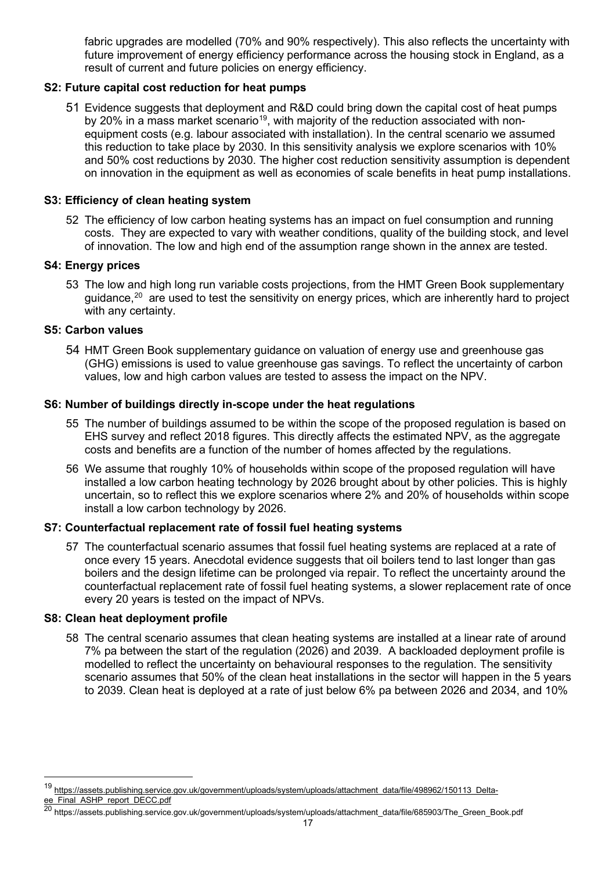fabric upgrades are modelled (70% and 90% respectively). This also reflects the uncertainty with future improvement of energy efficiency performance across the housing stock in England, as a result of current and future policies on energy efficiency.

#### **S2: Future capital cost reduction for heat pumps**

51 Evidence suggests that deployment and R&D could bring down the capital cost of heat pumps by 20% in a mass market scenario<sup>[19](#page-16-0)</sup>, with majority of the reduction associated with nonequipment costs (e.g. labour associated with installation). In the central scenario we assumed this reduction to take place by 2030. In this sensitivity analysis we explore scenarios with 10% and 50% cost reductions by 2030. The higher cost reduction sensitivity assumption is dependent on innovation in the equipment as well as economies of scale benefits in heat pump installations.

#### **S3: Efficiency of clean heating system**

52 The efficiency of low carbon heating systems has an impact on fuel consumption and running costs. They are expected to vary with weather conditions, quality of the building stock, and level of innovation. The low and high end of the assumption range shown in the annex are tested.

#### **S4: Energy prices**

53 The low and high long run variable costs projections, from the HMT Green Book supplementary guidance, $^{\mathrm{20}}$  $^{\mathrm{20}}$  $^{\mathrm{20}}$  are used to test the sensitivity on energy prices, which are inherently hard to project with any certainty.

#### **S5: Carbon values**

54 HMT Green Book supplementary guidance on valuation of energy use and greenhouse gas (GHG) emissions is used to value greenhouse gas savings. To reflect the uncertainty of carbon values, low and high carbon values are tested to assess the impact on the NPV.

#### **S6: Number of buildings directly in-scope under the heat regulations**

- 55 The number of buildings assumed to be within the scope of the proposed regulation is based on EHS survey and reflect 2018 figures. This directly affects the estimated NPV, as the aggregate costs and benefits are a function of the number of homes affected by the regulations.
- 56 We assume that roughly 10% of households within scope of the proposed regulation will have installed a low carbon heating technology by 2026 brought about by other policies. This is highly uncertain, so to reflect this we explore scenarios where 2% and 20% of households within scope install a low carbon technology by 2026.

#### **S7: Counterfactual replacement rate of fossil fuel heating systems**

57 The counterfactual scenario assumes that fossil fuel heating systems are replaced at a rate of once every 15 years. Anecdotal evidence suggests that oil boilers tend to last longer than gas boilers and the design lifetime can be prolonged via repair. To reflect the uncertainty around the counterfactual replacement rate of fossil fuel heating systems, a slower replacement rate of once every 20 years is tested on the impact of NPVs.

#### **S8: Clean heat deployment profile**

58 The central scenario assumes that clean heating systems are installed at a linear rate of around 7% pa between the start of the regulation (2026) and 2039. A backloaded deployment profile is modelled to reflect the uncertainty on behavioural responses to the regulation. The sensitivity scenario assumes that 50% of the clean heat installations in the sector will happen in the 5 years to 2039. Clean heat is deployed at a rate of just below 6% pa between 2026 and 2034, and 10%

<span id="page-16-0"></span><sup>19</sup> [https://assets.publishing.service.gov.uk/government/uploads/system/uploads/attachment\\_data/file/498962/150113\\_Delta](https://assets.publishing.service.gov.uk/government/uploads/system/uploads/attachment_data/file/498962/150113_Delta-ee_Final_ASHP_report_DECC.pdf)[ee\\_Final\\_ASHP\\_report\\_DECC.pdf](https://assets.publishing.service.gov.uk/government/uploads/system/uploads/attachment_data/file/498962/150113_Delta-ee_Final_ASHP_report_DECC.pdf)

<span id="page-16-1"></span><sup>20</sup> https://assets.publishing.service.gov.uk/government/uploads/system/uploads/attachment\_data/file/685903/The\_Green\_Book.pdf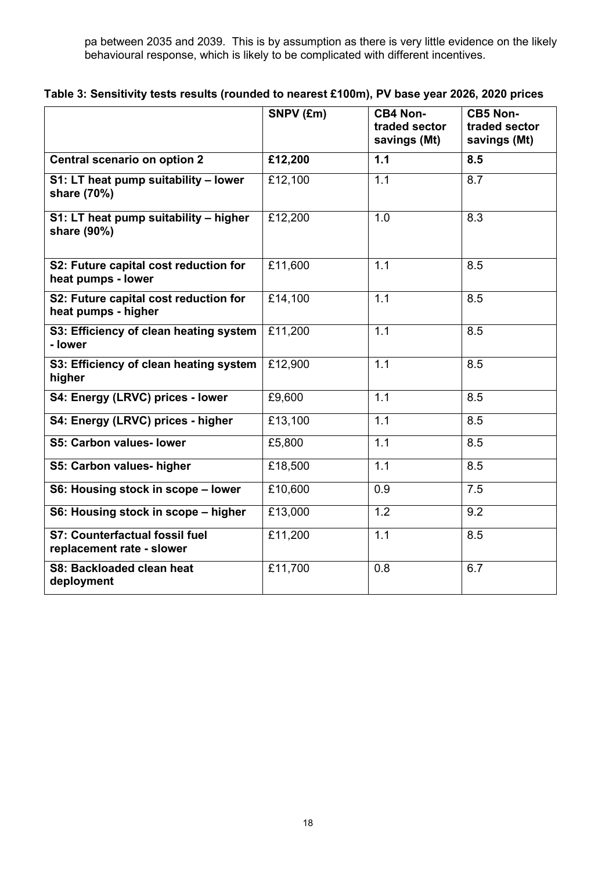pa between 2035 and 2039. This is by assumption as there is very little evidence on the likely behavioural response, which is likely to be complicated with different incentives.

**Table 3: Sensitivity tests results (rounded to nearest £100m), PV base year 2026, 2020 prices**

|                                                              | SNPV (£m) | <b>CB4 Non-</b><br>traded sector<br>savings (Mt) | <b>CB5 Non-</b><br>traded sector<br>savings (Mt) |
|--------------------------------------------------------------|-----------|--------------------------------------------------|--------------------------------------------------|
| Central scenario on option 2                                 | £12,200   | 1.1                                              | 8.5                                              |
| S1: LT heat pump suitability - lower<br>share (70%)          | £12,100   | 1.1                                              | 8.7                                              |
| S1: LT heat pump suitability - higher<br>share (90%)         | £12,200   | 1.0                                              | 8.3                                              |
| S2: Future capital cost reduction for<br>heat pumps - lower  | £11,600   | 1.1                                              | 8.5                                              |
| S2: Future capital cost reduction for<br>heat pumps - higher | £14,100   | 1.1                                              | 8.5                                              |
| S3: Efficiency of clean heating system<br>- lower            | £11,200   | 1.1                                              | 8.5                                              |
| S3: Efficiency of clean heating system<br>higher             | £12,900   | 1.1                                              | 8.5                                              |
| S4: Energy (LRVC) prices - lower                             | £9,600    | 1.1                                              | 8.5                                              |
| S4: Energy (LRVC) prices - higher                            | £13,100   | 1.1                                              | 8.5                                              |
| S5: Carbon values- lower                                     | £5,800    | 1.1                                              | 8.5                                              |
| S5: Carbon values- higher                                    | £18,500   | 1.1                                              | 8.5                                              |
| S6: Housing stock in scope - lower                           | £10,600   | 0.9                                              | 7.5                                              |
| S6: Housing stock in scope - higher                          | £13,000   | 1.2                                              | 9.2                                              |
| S7: Counterfactual fossil fuel<br>replacement rate - slower  | £11,200   | 1.1                                              | 8.5                                              |
| S8: Backloaded clean heat<br>deployment                      | £11,700   | 0.8                                              | 6.7                                              |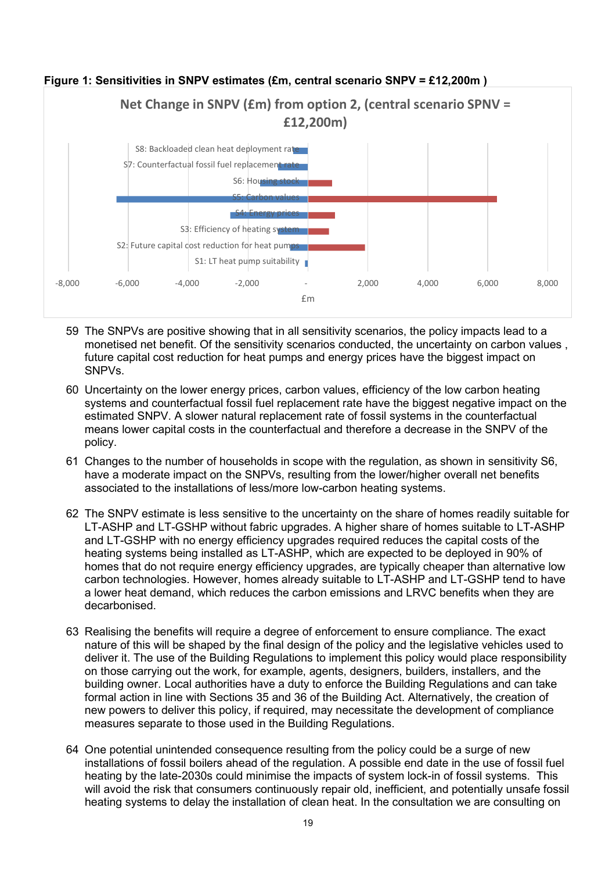

- 59 The SNPVs are positive showing that in all sensitivity scenarios, the policy impacts lead to a monetised net benefit. Of the sensitivity scenarios conducted, the uncertainty on carbon values , future capital cost reduction for heat pumps and energy prices have the biggest impact on SNPVs.
- 60 Uncertainty on the lower energy prices, carbon values, efficiency of the low carbon heating systems and counterfactual fossil fuel replacement rate have the biggest negative impact on the estimated SNPV. A slower natural replacement rate of fossil systems in the counterfactual means lower capital costs in the counterfactual and therefore a decrease in the SNPV of the policy.
- 61 Changes to the number of households in scope with the regulation, as shown in sensitivity S6, have a moderate impact on the SNPVs, resulting from the lower/higher overall net benefits associated to the installations of less/more low-carbon heating systems.
- 62 The SNPV estimate is less sensitive to the uncertainty on the share of homes readily suitable for LT-ASHP and LT-GSHP without fabric upgrades. A higher share of homes suitable to LT-ASHP and LT-GSHP with no energy efficiency upgrades required reduces the capital costs of the heating systems being installed as LT-ASHP, which are expected to be deployed in 90% of homes that do not require energy efficiency upgrades, are typically cheaper than alternative low carbon technologies. However, homes already suitable to LT-ASHP and LT-GSHP tend to have a lower heat demand, which reduces the carbon emissions and LRVC benefits when they are decarbonised.
- 63 Realising the benefits will require a degree of enforcement to ensure compliance. The exact nature of this will be shaped by the final design of the policy and the legislative vehicles used to deliver it. The use of the Building Regulations to implement this policy would place responsibility on those carrying out the work, for example, agents, designers, builders, installers, and the building owner. Local authorities have a duty to enforce the Building Regulations and can take formal action in line with Sections 35 and 36 of the Building Act. Alternatively, the creation of new powers to deliver this policy, if required, may necessitate the development of compliance measures separate to those used in the Building Regulations.
- 64 One potential unintended consequence resulting from the policy could be a surge of new installations of fossil boilers ahead of the regulation. A possible end date in the use of fossil fuel heating by the late-2030s could minimise the impacts of system lock-in of fossil systems. This will avoid the risk that consumers continuously repair old, inefficient, and potentially unsafe fossil heating systems to delay the installation of clean heat. In the consultation we are consulting on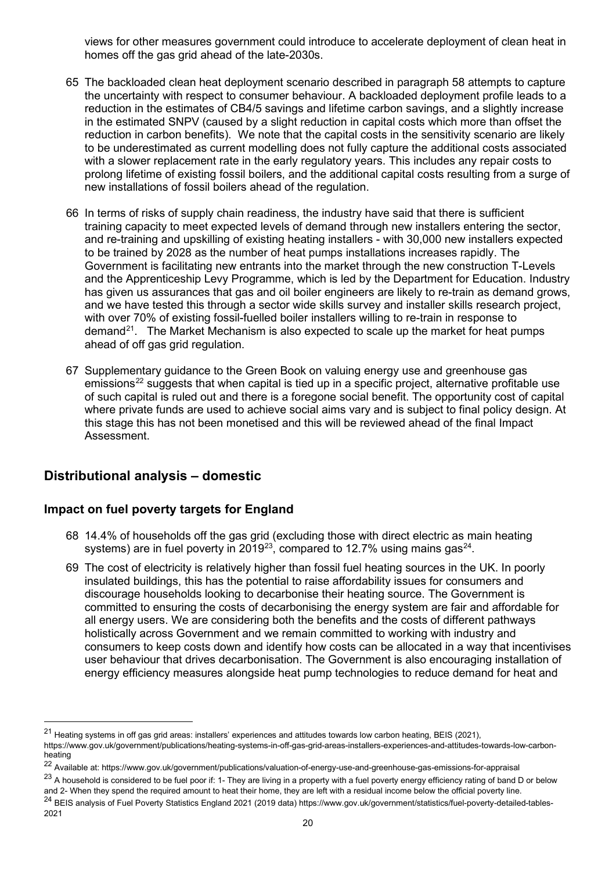views for other measures government could introduce to accelerate deployment of clean heat in homes off the gas grid ahead of the late-2030s.

- 65 The backloaded clean heat deployment scenario described in paragraph 58 attempts to capture the uncertainty with respect to consumer behaviour. A backloaded deployment profile leads to a reduction in the estimates of CB4/5 savings and lifetime carbon savings, and a slightly increase in the estimated SNPV (caused by a slight reduction in capital costs which more than offset the reduction in carbon benefits). We note that the capital costs in the sensitivity scenario are likely to be underestimated as current modelling does not fully capture the additional costs associated with a slower replacement rate in the early regulatory years. This includes any repair costs to prolong lifetime of existing fossil boilers, and the additional capital costs resulting from a surge of new installations of fossil boilers ahead of the regulation.
- 66 In terms of risks of supply chain readiness, the industry have said that there is sufficient training capacity to meet expected levels of demand through new installers entering the sector, and re-training and upskilling of existing heating installers - with 30,000 new installers expected to be trained by 2028 as the number of heat pumps installations increases rapidly. The Government is facilitating new entrants into the market through the new construction T-Levels and the Apprenticeship Levy Programme, which is led by the Department for Education. Industry has given us assurances that gas and oil boiler engineers are likely to re-train as demand grows, and we have tested this through a sector wide skills survey and installer skills research project, with over 70% of existing fossil-fuelled boiler installers willing to re-train in response to  $d$  demand<sup>21</sup>. The Market Mechanism is also expected to scale up the market for heat pumps ahead of off gas grid regulation.
- 67 Supplementary guidance to the Green Book on valuing energy use and greenhouse gas emissions<sup>[22](#page-19-1)</sup> suggests that when capital is tied up in a specific project, alternative profitable use of such capital is ruled out and there is a foregone social benefit. The opportunity cost of capital where private funds are used to achieve social aims vary and is subject to final policy design. At this stage this has not been monetised and this will be reviewed ahead of the final Impact Assessment.

### **Distributional analysis – domestic**

#### **Impact on fuel poverty targets for England**

- 68 14.4% of households off the gas grid (excluding those with direct electric as main heating systems) are in fuel poverty in 2019<sup>23</sup>, compared to 12.7% using mains gas<sup>24</sup>.
- 69 The cost of electricity is relatively higher than fossil fuel heating sources in the UK. In poorly insulated buildings, this has the potential to raise affordability issues for consumers and discourage households looking to decarbonise their heating source. The Government is committed to ensuring the costs of decarbonising the energy system are fair and affordable for all energy users. We are considering both the benefits and the costs of different pathways holistically across Government and we remain committed to working with industry and consumers to keep costs down and identify how costs can be allocated in a way that incentivises user behaviour that drives decarbonisation. The Government is also encouraging installation of energy efficiency measures alongside heat pump technologies to reduce demand for heat and

<span id="page-19-0"></span> $^{21}$  Heating systems in off gas grid areas: installers' experiences and attitudes towards low carbon heating, BEIS (2021),

https://www.gov.uk/government/publications/heating-systems-in-off-gas-grid-areas-installers-experiences-and-attitudes-towards-low-carbonheating

<span id="page-19-1"></span><sup>22</sup> Available at: https://www.gov.uk/government/publications/valuation-of-energy-use-and-greenhouse-gas-emissions-for-appraisal

<span id="page-19-2"></span><sup>&</sup>lt;sup>23</sup> A household is considered to be fuel poor if: 1- They are living in a property with a fuel poverty energy efficiency rating of band D or below and 2- When they spend the required amount to heat their home, they are left with a residual income below the official poverty line.

<span id="page-19-3"></span><sup>&</sup>lt;sup>24</sup> BEIS analysis of Fuel Poverty Statistics England 2021 (2019 data) https://www.gov.uk/government/statistics/fuel-poverty-detailed-tables-2021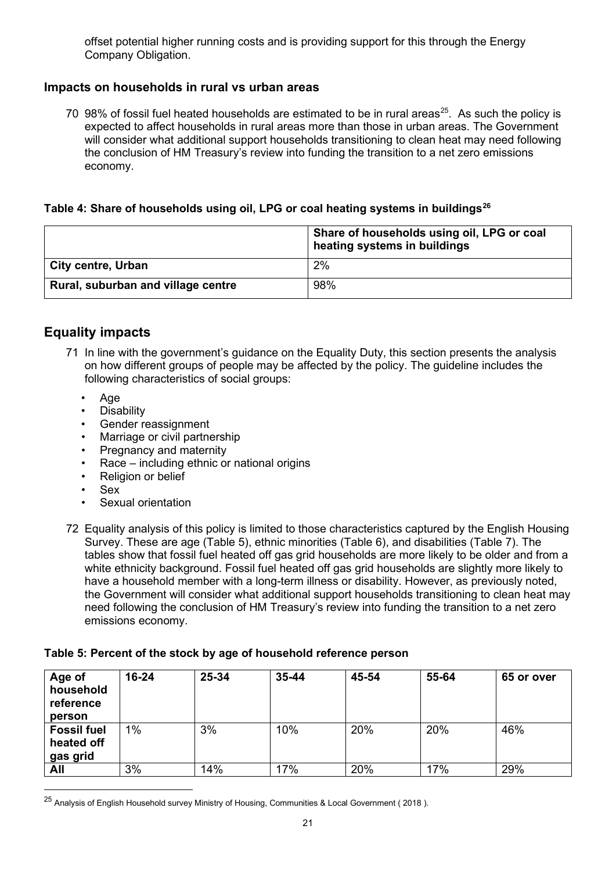offset potential higher running costs and is providing support for this through the Energy Company Obligation.

#### **Impacts on households in rural vs urban areas**

70 98% of fossil fuel heated households are estimated to be in rural areas<sup>25</sup>. As such the policy is expected to affect households in rural areas more than those in urban areas. The Government will consider what additional support households transitioning to clean heat may need following the conclusion of HM Treasury's review into funding the transition to a net zero emissions economy.

#### **Table 4: Share of households using oil, LPG or coal heating systems in buildings[26](#page-20-1)**

|                                    | Share of households using oil, LPG or coal<br>heating systems in buildings |
|------------------------------------|----------------------------------------------------------------------------|
| <b>City centre, Urban</b>          | 2%                                                                         |
| Rural, suburban and village centre | 98%                                                                        |

## **Equality impacts**

- 71 In line with the government's guidance on the Equality Duty, this section presents the analysis on how different groups of people may be affected by the policy. The guideline includes the following characteristics of social groups:
	- Age
	- **Disability**
	- Gender reassignment
	- Marriage or civil partnership
	- Pregnancy and maternity
	- Race including ethnic or national origins
	- Religion or belief
	- Sex
	- Sexual orientation
- 72 Equality analysis of this policy is limited to those characteristics captured by the English Housing Survey. These are age (Table 5), ethnic minorities (Table 6), and disabilities (Table 7). The tables show that fossil fuel heated off gas grid households are more likely to be older and from a white ethnicity background. Fossil fuel heated off gas grid households are slightly more likely to have a household member with a long-term illness or disability. However, as previously noted, the Government will consider what additional support households transitioning to clean heat may need following the conclusion of HM Treasury's review into funding the transition to a net zero emissions economy.

#### **Table 5: Percent of the stock by age of household reference person**

| Age of<br>household<br>reference<br>person   | $16 - 24$ | 25-34 | $35 - 44$ | 45-54 | 55-64 | 65 or over |
|----------------------------------------------|-----------|-------|-----------|-------|-------|------------|
| <b>Fossil fuel</b><br>heated off<br>gas grid | $1\%$     | 3%    | 10%       | 20%   | 20%   | 46%        |
| All                                          | 3%        | 14%   | 17%       | 20%   | 17%   | 29%        |

<span id="page-20-1"></span><span id="page-20-0"></span><sup>&</sup>lt;sup>25</sup> Analysis of English Household survey Ministry of Housing, Communities & Local Government ( 2018 ).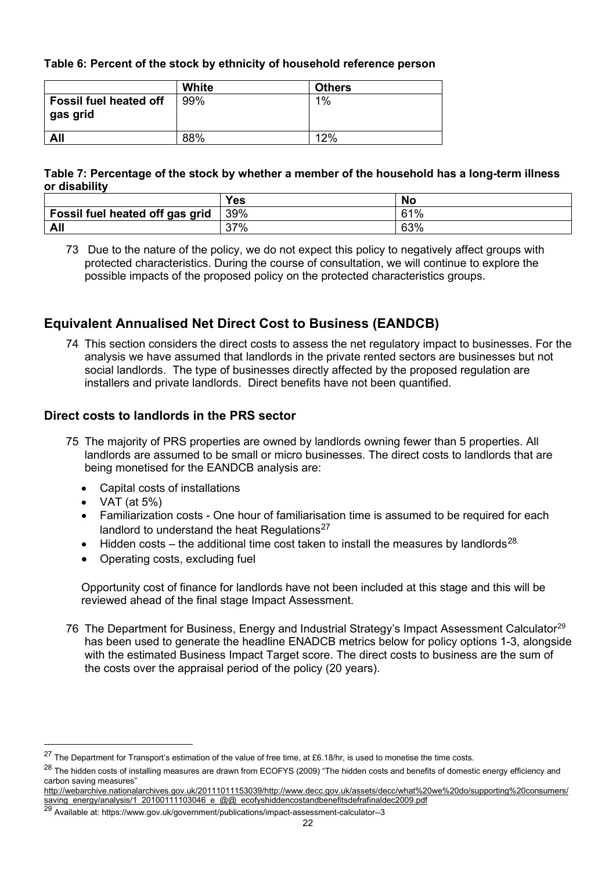#### **Table 6: Percent of the stock by ethnicity of household reference person**

|                                           | White | <b>Others</b> |
|-------------------------------------------|-------|---------------|
| <b>Fossil fuel heated off</b><br>gas grid | 99%   | 1%            |
| All                                       | 88%   | 12%           |

#### **Table 7: Percentage of the stock by whether a member of the household has a long-term illness or disability**

|                                 | Yes | <b>No</b>  |
|---------------------------------|-----|------------|
| Fossil fuel heated off gas grid | 39% | <b>61%</b> |
| All                             | 37% | 63%        |

73 Due to the nature of the policy, we do not expect this policy to negatively affect groups with protected characteristics. During the course of consultation, we will continue to explore the possible impacts of the proposed policy on the protected characteristics groups.

## **Equivalent Annualised Net Direct Cost to Business (EANDCB)**

74 This section considers the direct costs to assess the net regulatory impact to businesses. For the analysis we have assumed that landlords in the private rented sectors are businesses but not social landlords. The type of businesses directly affected by the proposed regulation are installers and private landlords. Direct benefits have not been quantified.

#### **Direct costs to landlords in the PRS sector**

- 75 The majority of PRS properties are owned by landlords owning fewer than 5 properties. All landlords are assumed to be small or micro businesses. The direct costs to landlords that are being monetised for the EANDCB analysis are:
	- Capital costs of installations
	- VAT (at  $5\%$ )
	- Familiarization costs One hour of familiarisation time is assumed to be required for each landlord to understand the heat Regulations $27$
	- Hidden costs the additional time cost taken to install the measures by landlords<sup>[28.](#page-21-1)</sup>
	- Operating costs, excluding fuel

Opportunity cost of finance for landlords have not been included at this stage and this will be reviewed ahead of the final stage Impact Assessment.

76 The Department for Business, Energy and Industrial Strategy's Impact Assessment Calculator<sup>[29](#page-21-2)</sup> has been used to generate the headline ENADCB metrics below for policy options 1-3, alongside with the estimated Business Impact Target score. The direct costs to business are the sum of the costs over the appraisal period of the policy (20 years).

<span id="page-21-0"></span> $^{27}$  The Department for Transport's estimation of the value of free time, at £6.18/hr, is used to monetise the time costs.

<span id="page-21-1"></span><sup>&</sup>lt;sup>28</sup> The hidden costs of installing measures are drawn from ECOFYS (2009) "The hidden costs and benefits of domestic energy efficiency and carbon saving measures"

[http://webarchive.nationalarchives.gov.uk/20111011153039/http://www.decc.gov.uk/assets/decc/what%20we%20do/supporting%20consumers/](http://webarchive.nationalarchives.gov.uk/20111011153039/http:/www.decc.gov.uk/assets/decc/what%20we%20do/supporting%20consumers/saving_energy/analysis/1_20100111103046_e_@@_ecofyshiddencostandbenefitsdefrafinaldec2009.pdf) [saving\\_energy/analysis/1\\_20100111103046\\_e\\_@@\\_ecofyshiddencostandbenefitsdefrafinaldec2009.pdf](http://webarchive.nationalarchives.gov.uk/20111011153039/http:/www.decc.gov.uk/assets/decc/what%20we%20do/supporting%20consumers/saving_energy/analysis/1_20100111103046_e_@@_ecofyshiddencostandbenefitsdefrafinaldec2009.pdf)

<span id="page-21-2"></span><sup>29</sup> Available at: https://www.gov.uk/government/publications/impact-assessment-calculator--3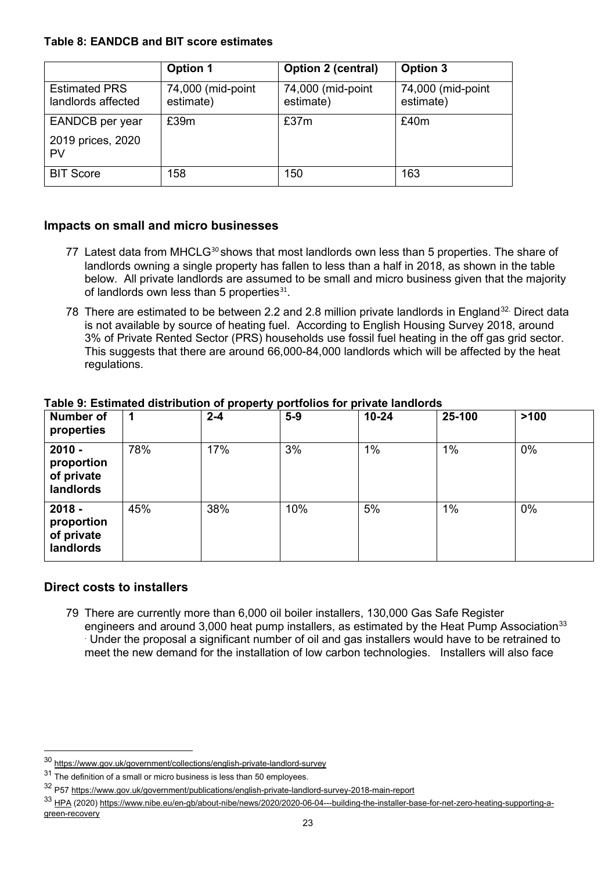#### **Table 8: EANDCB and BIT score estimates**

|                                            | <b>Option 1</b>                | Option 2 (central)             | Option 3                       |
|--------------------------------------------|--------------------------------|--------------------------------|--------------------------------|
| <b>Estimated PRS</b><br>landlords affected | 74,000 (mid-point<br>estimate) | 74,000 (mid-point<br>estimate) | 74,000 (mid-point<br>estimate) |
| EANDCB per year                            | £39m                           | £37m                           | £40m                           |
| 2019 prices, 2020<br>PV                    |                                |                                |                                |
| <b>BIT Score</b>                           | 158                            | 150                            | 163                            |

#### **Impacts on small and micro businesses**

- 77 Latest data from MHCLG<sup>[30](#page-22-0)</sup> shows that most landlords own less than 5 properties. The share of landlords owning a single property has fallen to less than a half in 2018, as shown in the table below. All private landlords are assumed to be small and micro business given that the majority of landlords own less than 5 properties $31$ .
- 78 There are estimated to be between 2.2 and 2.8 million private landlords in England<sup>[32.](#page-22-2)</sup> Direct data is not available by source of heating fuel. According to English Housing Survey 2018, around 3% of Private Rented Sector (PRS) households use fossil fuel heating in the off gas grid sector. This suggests that there are around 66,000-84,000 landlords which will be affected by the heat regulations.

#### **Number of properties 1 2-4 5-9 10-24 25-100 >100 2010 proportion of private landlords**  78% 17% 3% 1% 1% 0% **2018 proportion of private**  45% 38% 10% 5% 1% 0%

# **Table 9: Estimated distribution of property portfolios for private landlords**

#### **Direct costs to installers**

**landlords** 

79 There are currently more than 6,000 oil boiler installers, 130,000 Gas Safe Register engineers and around 3,000 heat pump installers, as estimated by the Heat Pump Association<sup>33</sup> . Under the proposal a significant number of oil and gas installers would have to be retrained to meet the new demand for the installation of low carbon technologies. Installers will also face

<span id="page-22-0"></span><sup>30</sup> <https://www.gov.uk/government/collections/english-private-landlord-survey>

<span id="page-22-1"></span> $31$  The definition of a small or micro business is less than 50 employees.

<span id="page-22-2"></span><sup>32</sup> P57<https://www.gov.uk/government/publications/english-private-landlord-survey-2018-main-report>

<span id="page-22-3"></span><sup>33</sup> [HPA](https://eur02.safelinks.protection.outlook.com/?url=https%3A%2F%2Fwww.heatpumps.org.uk%2Fwp-content%2Fuploads%2F2020%2F06%2FBuilding-the-Installer-Base-for-Net-Zero-Heating_02.06.pdf&data=04%7C01%7CChristina.Michael%40beis.gov.uk%7C0858cb220d83447e8be808d8923505d7%7Ccbac700502c143ebb497e6492d1b2dd8%7C0%7C0%7C637420103716820548%7CUnknown%7CTWFpbGZsb3d8eyJWIjoiMC4wLjAwMDAiLCJQIjoiV2luMzIiLCJBTiI6Ik1haWwiLCJXVCI6Mn0%3D%7C1000&sdata=7KJhm%2BFwFZbPUbLQ1MF282zriBXozjJWLdw4LjQRitk%3D&reserved=0) (2020[\) https://www.nibe.eu/en-gb/about-nibe/news/2020/2020-06-04---building-the-installer-base-for-net-zero-heating-supporting-a](https://www.nibe.eu/en-gb/about-nibe/news/2020/2020-06-04---building-the-installer-base-for-net-zero-heating-supporting-a-green-recovery)[green-recovery](https://www.nibe.eu/en-gb/about-nibe/news/2020/2020-06-04---building-the-installer-base-for-net-zero-heating-supporting-a-green-recovery)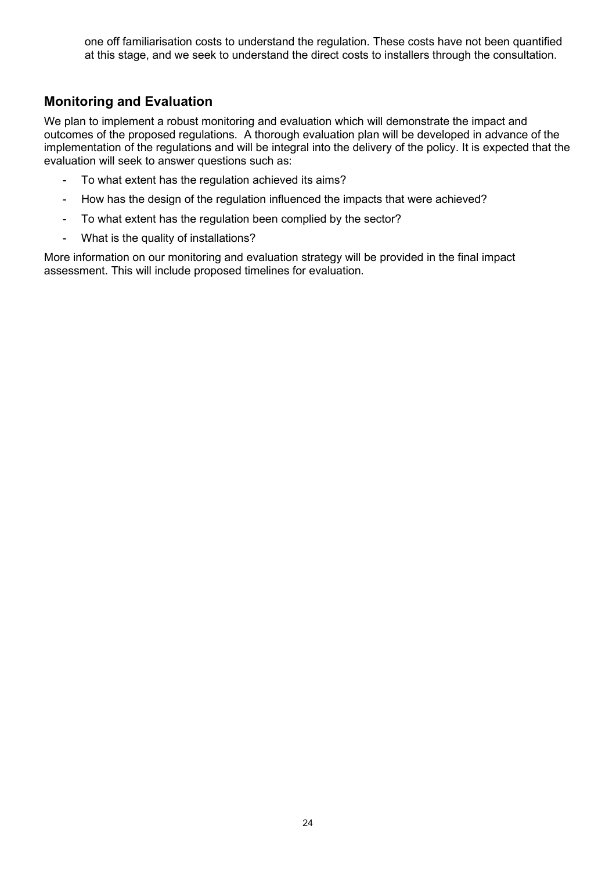one off familiarisation costs to understand the regulation. These costs have not been quantified at this stage, and we seek to understand the direct costs to installers through the consultation.

## **Monitoring and Evaluation**

We plan to implement a robust monitoring and evaluation which will demonstrate the impact and outcomes of the proposed regulations. A thorough evaluation plan will be developed in advance of the implementation of the regulations and will be integral into the delivery of the policy. It is expected that the evaluation will seek to answer questions such as:

- To what extent has the regulation achieved its aims?
- How has the design of the regulation influenced the impacts that were achieved?
- To what extent has the regulation been complied by the sector?
- What is the quality of installations?

More information on our monitoring and evaluation strategy will be provided in the final impact assessment. This will include proposed timelines for evaluation.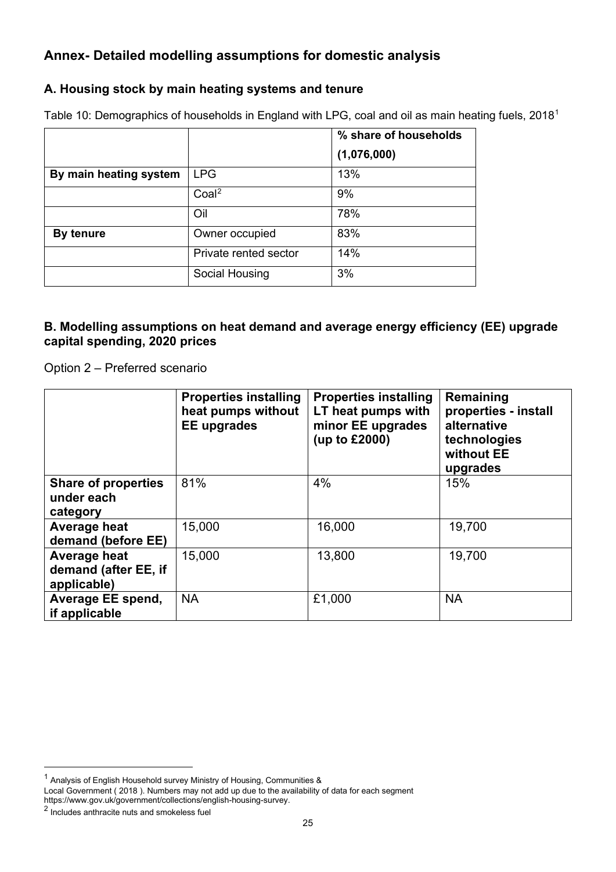## **Annex- Detailed modelling assumptions for domestic analysis**

### **A. Housing stock by main heating systems and tenure**

Table [1](#page-24-0)0: Demographics of households in England with LPG, coal and oil as main heating fuels, 2018<sup>1</sup>

|                        |                       | % share of households |
|------------------------|-----------------------|-----------------------|
|                        |                       | (1,076,000)           |
| By main heating system | <b>LPG</b>            | 13%                   |
|                        | Coal <sup>2</sup>     | 9%                    |
|                        | Oil                   | 78%                   |
| By tenure              | Owner occupied        | 83%                   |
|                        | Private rented sector | 14%                   |
|                        | Social Housing        | 3%                    |

#### **B. Modelling assumptions on heat demand and average energy efficiency (EE) upgrade capital spending, 2020 prices**

Option 2 – Preferred scenario

|                                                      | <b>Properties installing</b><br>heat pumps without<br><b>EE</b> upgrades | <b>Properties installing</b><br>LT heat pumps with<br>minor EE upgrades<br>(up to £2000) | Remaining<br>properties - install<br>alternative<br>technologies<br>without EE<br>upgrades |
|------------------------------------------------------|--------------------------------------------------------------------------|------------------------------------------------------------------------------------------|--------------------------------------------------------------------------------------------|
| <b>Share of properties</b><br>under each<br>category | 81%                                                                      | 4%                                                                                       | 15%                                                                                        |
| Average heat<br>demand (before EE)                   | 15,000                                                                   | 16,000                                                                                   | 19,700                                                                                     |
| Average heat<br>demand (after EE, if<br>applicable)  | 15,000                                                                   | 13,800                                                                                   | 19,700                                                                                     |
| Average EE spend,<br>if applicable                   | <b>NA</b>                                                                | £1,000                                                                                   | <b>NA</b>                                                                                  |

<span id="page-24-0"></span> $1$  Analysis of English Household survey Ministry of Housing, Communities &

Local Government ( 2018 ). Numbers may not add up due to the availability of data for each segment https://www.gov.uk/government/collections/english-housing-survey.

<span id="page-24-1"></span><sup>2</sup> Includes anthracite nuts and smokeless fuel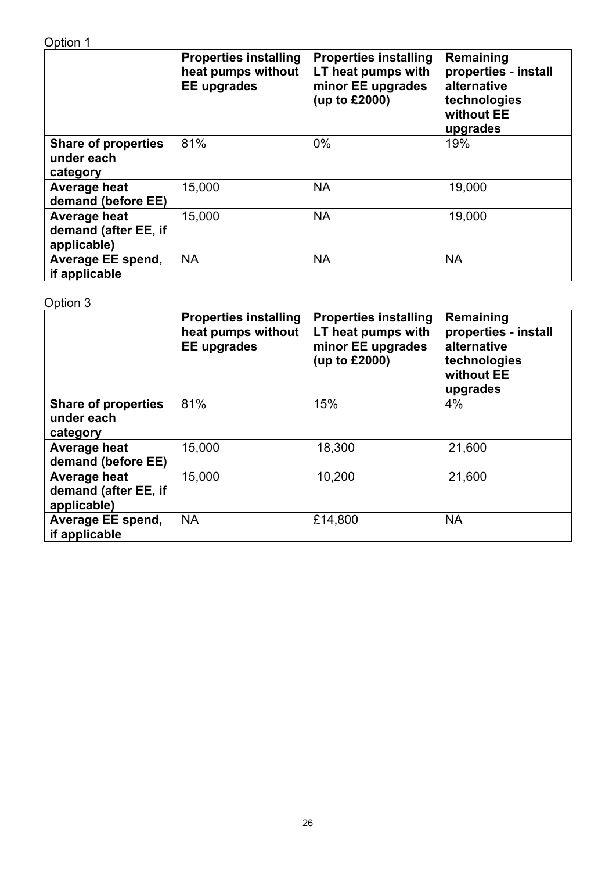|                                                      | <b>Properties installing</b><br>heat pumps without<br><b>EE</b> upgrades | <b>Properties installing</b><br>LT heat pumps with<br>minor EE upgrades<br>(up to £2000) | Remaining<br>properties - install<br>alternative<br>technologies<br>without EE<br>upgrades |
|------------------------------------------------------|--------------------------------------------------------------------------|------------------------------------------------------------------------------------------|--------------------------------------------------------------------------------------------|
| <b>Share of properties</b><br>under each<br>category | 81%                                                                      | $0\%$                                                                                    | 19%                                                                                        |
| Average heat<br>demand (before EE)                   | 15,000                                                                   | <b>NA</b>                                                                                | 19,000                                                                                     |
| Average heat<br>demand (after EE, if<br>applicable)  | 15,000                                                                   | <b>NA</b>                                                                                | 19,000                                                                                     |
| Average EE spend,<br>if applicable                   | <b>NA</b>                                                                | <b>NA</b>                                                                                | <b>NA</b>                                                                                  |

## Option 3

|                                                      | <b>Properties installing</b><br>heat pumps without<br><b>EE</b> upgrades | <b>Properties installing</b><br>LT heat pumps with<br>minor EE upgrades<br>(up to £2000) | Remaining<br>properties - install<br>alternative<br>technologies<br>without EE<br>upgrades |
|------------------------------------------------------|--------------------------------------------------------------------------|------------------------------------------------------------------------------------------|--------------------------------------------------------------------------------------------|
| <b>Share of properties</b><br>under each<br>category | 81%                                                                      | 15%                                                                                      | 4%                                                                                         |
| Average heat<br>demand (before EE)                   | 15,000                                                                   | 18,300                                                                                   | 21,600                                                                                     |
| Average heat<br>demand (after EE, if<br>applicable)  | 15,000                                                                   | 10,200                                                                                   | 21,600                                                                                     |
| Average EE spend,<br>if applicable                   | <b>NA</b>                                                                | £14,800                                                                                  | <b>NA</b>                                                                                  |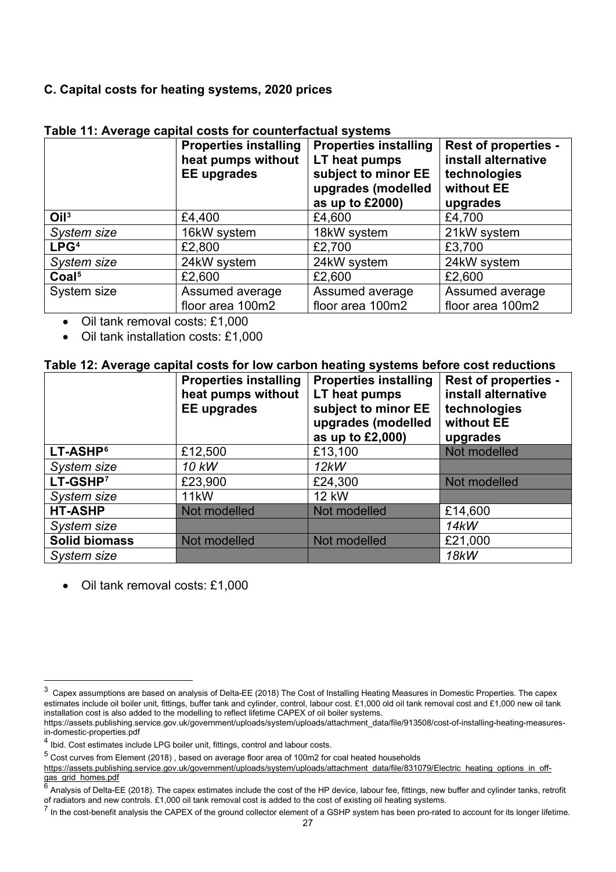### **C. Capital costs for heating systems, 2020 prices**

|                   | <b>Properties installing</b><br>heat pumps without<br><b>EE</b> upgrades | <b>Properties installing</b><br>LT heat pumps<br>subject to minor EE<br>upgrades (modelled<br>as up to £2000) | <b>Rest of properties -</b><br>install alternative<br>technologies<br>without EE<br>upgrades |
|-------------------|--------------------------------------------------------------------------|---------------------------------------------------------------------------------------------------------------|----------------------------------------------------------------------------------------------|
| O <sup>13</sup>   | £4,400                                                                   | £4,600                                                                                                        | £4,700                                                                                       |
| System size       | 16kW system                                                              | 18kW system                                                                                                   | 21kW system                                                                                  |
| LPG <sup>4</sup>  | £2,800                                                                   | £2,700                                                                                                        | £3,700                                                                                       |
| System size       | 24kW system                                                              | 24kW system                                                                                                   | 24kW system                                                                                  |
| Coal <sup>5</sup> | £2,600                                                                   | £2,600                                                                                                        | £2,600                                                                                       |
| System size       | Assumed average<br>floor area 100m2                                      | Assumed average<br>floor area 100m2                                                                           | Assumed average<br>floor area 100m2                                                          |

#### **Table 11: Average capital costs for counterfactual systems**

• Oil tank removal costs: £1,000

• Oil tank installation costs: £1,000

#### **Table 12: Average capital costs for low carbon heating systems before cost reductions**

|                      | <b>Properties installing</b><br>heat pumps without<br><b>EE</b> upgrades | <b>Properties installing</b><br>LT heat pumps<br>subject to minor EE<br>upgrades (modelled<br>as up to £2,000) | <b>Rest of properties -</b><br>install alternative<br>technologies<br>without EE<br>upgrades |
|----------------------|--------------------------------------------------------------------------|----------------------------------------------------------------------------------------------------------------|----------------------------------------------------------------------------------------------|
| LT-ASHP <sup>6</sup> | £12,500                                                                  | £13,100                                                                                                        | Not modelled                                                                                 |
| System size          | 10 kW                                                                    | 12kW                                                                                                           |                                                                                              |
| LT-GSHP <sup>7</sup> | £23,900                                                                  | £24,300                                                                                                        | Not modelled                                                                                 |
| System size          | 11kW                                                                     | <b>12 kW</b>                                                                                                   |                                                                                              |
| <b>HT-ASHP</b>       | Not modelled                                                             | Not modelled                                                                                                   | £14,600                                                                                      |
| System size          |                                                                          |                                                                                                                | 14 <sub>k</sub> W                                                                            |
| <b>Solid biomass</b> | Not modelled                                                             | Not modelled                                                                                                   | £21,000                                                                                      |
| System size          |                                                                          |                                                                                                                | <b>18kW</b>                                                                                  |

• Oil tank removal costs: £1,000

<span id="page-26-0"></span> $3$  Capex assumptions are based on analysis of Delta-EE (2018) The Cost of Installing Heating Measures in Domestic Properties. The capex estimates include oil boiler unit, fittings, buffer tank and cylinder, control, labour cost. £1,000 old oil tank removal cost and £1,000 new oil tank installation cost is also added to the modelling to reflect lifetime CAPEX of oil boiler systems.

https://assets.publishing.service.gov.uk/government/uploads/system/uploads/attachment\_data/file/913508/cost-of-installing-heating-measuresin-domestic-properties.pdf

<span id="page-26-1"></span><sup>4</sup> Ibid. Cost estimates include LPG boiler unit, fittings, control and labour costs.

<span id="page-26-2"></span> $5$  Cost curves from Element (2018), based on average floor area of 100m2 for coal heated households

[https://assets.publishing.service.gov.uk/government/uploads/system/uploads/attachment\\_data/file/831079/Electric\\_heating\\_options\\_in\\_off](https://assets.publishing.service.gov.uk/government/uploads/system/uploads/attachment_data/file/831079/Electric_heating_options_in_off-gas_grid_homes.pdf)[gas\\_grid\\_homes.pdf](https://assets.publishing.service.gov.uk/government/uploads/system/uploads/attachment_data/file/831079/Electric_heating_options_in_off-gas_grid_homes.pdf)

<span id="page-26-3"></span> $6$  Analysis of Delta-EE (2018). The capex estimates include the cost of the HP device, labour fee, fittings, new buffer and cylinder tanks, retrofit of radiators and new controls. £1,000 oil tank removal cost is added to the cost of existing oil heating systems.

<span id="page-26-4"></span> $<sup>7</sup>$  In the cost-benefit analysis the CAPEX of the ground collector element of a GSHP system has been pro-rated to account for its longer lifetime.</sup>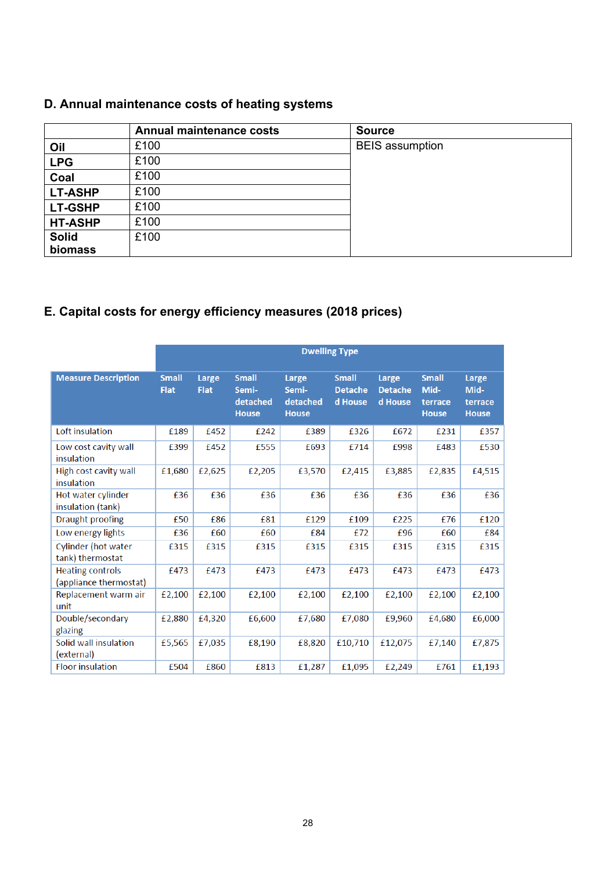## **D. Annual maintenance costs of heating systems**

|                | <b>Annual maintenance costs</b> | <b>Source</b>          |  |
|----------------|---------------------------------|------------------------|--|
| Oil            | £100                            | <b>BEIS</b> assumption |  |
| <b>LPG</b>     | £100                            |                        |  |
| Coal           | £100                            |                        |  |
| <b>LT-ASHP</b> | £100                            |                        |  |
| <b>LT-GSHP</b> | £100                            |                        |  |
| <b>HT-ASHP</b> | £100                            |                        |  |
| <b>Solid</b>   | £100                            |                        |  |
| biomass        |                                 |                        |  |

## **E. Capital costs for energy efficiency measures (2018 prices)**

|                                                   | <b>Dwelling Type</b>        |                      |                                                   |                                            |                                           |                                    |                                                 |                                          |
|---------------------------------------------------|-----------------------------|----------------------|---------------------------------------------------|--------------------------------------------|-------------------------------------------|------------------------------------|-------------------------------------------------|------------------------------------------|
| <b>Measure Description</b>                        | <b>Small</b><br><b>Flat</b> | Large<br><b>Flat</b> | <b>Small</b><br>Semi-<br>detached<br><b>House</b> | Large<br>Semi-<br>detached<br><b>House</b> | <b>Small</b><br><b>Detache</b><br>d House | Large<br><b>Detache</b><br>d House | <b>Small</b><br>Mid-<br>terrace<br><b>House</b> | Large<br>Mid-<br>terrace<br><b>House</b> |
| Loft insulation                                   | £189                        | £452                 | £242                                              | £389                                       | £326                                      | £672                               | £231                                            | £357                                     |
| Low cost cavity wall<br>insulation                | £399                        | £452                 | £555                                              | £693                                       | £714                                      | £998                               | £483                                            | £530                                     |
| High cost cavity wall<br>insulation               | £1,680                      | £2,625               | £2,205                                            | £3,570                                     | £2,415                                    | £3,885                             | £2,835                                          | £4,515                                   |
| Hot water cylinder<br>insulation (tank)           | £36                         | £36                  | £36                                               | £36                                        | £36                                       | £36                                | £36                                             | £36                                      |
| Draught proofing                                  | £50                         | £86                  | £81                                               | £129                                       | £109                                      | £225                               | £76                                             | £120                                     |
| Low energy lights                                 | £36                         | £60                  | £60                                               | £84                                        | £72                                       | £96                                | £60                                             | £84                                      |
| Cylinder (hot water<br>tank) thermostat           | £315                        | £315                 | £315                                              | £315                                       | £315                                      | £315                               | £315                                            | £315                                     |
| <b>Heating controls</b><br>(appliance thermostat) | £473                        | £473                 | £473                                              | £473                                       | £473                                      | £473                               | £473                                            | £473                                     |
| Replacement warm air<br>unit                      | £2,100                      | £2,100               | £2,100                                            | £2,100                                     | £2,100                                    | £2,100                             | £2,100                                          | £2,100                                   |
| Double/secondary<br>glazing                       | £2,880                      | £4,320               | £6,600                                            | £7,680                                     | £7,080                                    | £9,960                             | £4,680                                          | £6,000                                   |
| Solid wall insulation<br>(external)               | £5,565                      | £7,035               | £8,190                                            | £8,820                                     | £10,710                                   | £12,075                            | £7,140                                          | £7,875                                   |
| <b>Floor insulation</b>                           | £504                        | £860                 | £813                                              | £1,287                                     | £1,095                                    | £2,249                             | £761                                            | £1,193                                   |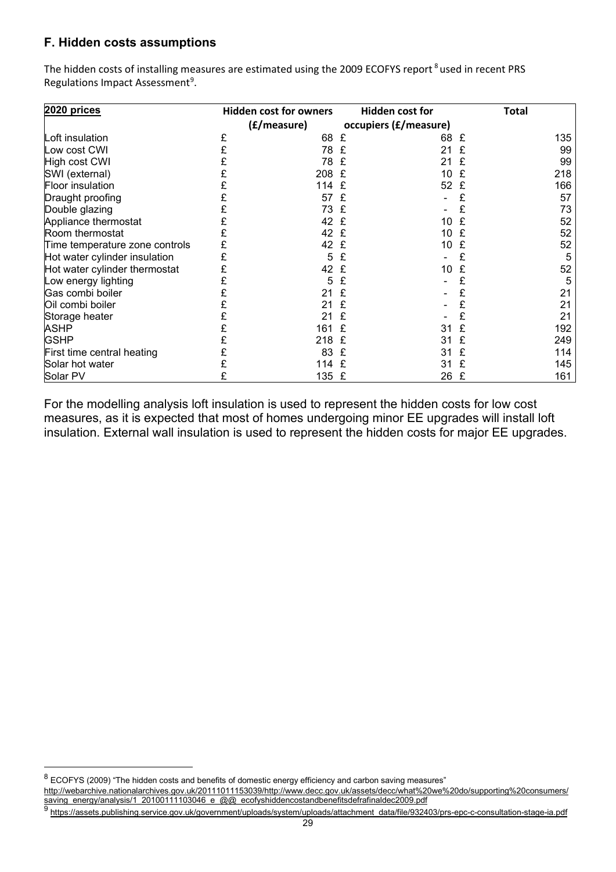#### **F. Hidden costs assumptions**

The hidden costs of installing measures are estimated using the 2009 ECOFYS report<sup>[8](#page-28-0)</sup> used in recent PRS Regulations Impact Assessment<sup>[9](#page-28-1)</sup>.

| 2020 prices                    |   | <b>Hidden cost for owners</b> |   | <b>Hidden cost for</b> |   | Total |
|--------------------------------|---|-------------------------------|---|------------------------|---|-------|
|                                |   | (£/measure)                   |   | occupiers (£/measure)  |   |       |
| Loft insulation                | £ | 68                            | £ | 68                     | £ | 135   |
| Low cost CWI                   |   | 78                            | £ | 21                     |   | 99    |
| High cost CWI                  |   | 78                            | £ | 21                     | £ | 99    |
| SWI (external)                 |   | 208                           | £ | 10                     | £ | 218   |
| Floor insulation               |   | 114                           | £ | 52                     | £ | 166   |
| Draught proofing               |   | 57                            | £ |                        |   | 57    |
| Double glazing                 |   | 73                            | £ |                        | £ | 73    |
| Appliance thermostat           |   | 42 £                          |   | 10                     |   | 52    |
| Room thermostat                |   | 42                            | £ | 10                     | £ | 52    |
| Time temperature zone controls |   | 42                            | £ | 10                     | £ | 52    |
| Hot water cylinder insulation  |   | 5                             | £ |                        |   | 5     |
| Hot water cylinder thermostat  |   | 42                            | £ | 10                     | £ | 52    |
| Low energy lighting            |   | 5                             | £ |                        |   | 5     |
| Gas combi boiler               |   | 21                            | £ |                        | £ | 21    |
| Oil combi boiler               |   | 21                            | £ |                        |   | 21    |
| Storage heater                 |   | 21                            | £ |                        | £ | 21    |
| <b>ASHP</b>                    |   | 161                           | £ | 31                     | £ | 192   |
| <b>GSHP</b>                    |   | 218                           | £ | 31                     | £ | 249   |
| First time central heating     |   | 83                            | £ | 31                     | £ | 114   |
| Solar hot water                |   | 114                           | £ | 31                     | £ | 145   |
| Solar PV                       |   | 135 £                         |   | 26                     | £ | 161   |

For the modelling analysis loft insulation is used to represent the hidden costs for low cost measures, as it is expected that most of homes undergoing minor EE upgrades will install loft insulation. External wall insulation is used to represent the hidden costs for major EE upgrades.

<span id="page-28-0"></span> $8$  ECOFYS (2009) "The hidden costs and benefits of domestic energy efficiency and carbon saving measures"

[http://webarchive.nationalarchives.gov.uk/20111011153039/http://www.decc.gov.uk/assets/decc/what%20we%20do/supporting%20consumers/](http://webarchive.nationalarchives.gov.uk/20111011153039/http:/www.decc.gov.uk/assets/decc/what%20we%20do/supporting%20consumers/saving_energy/analysis/1_20100111103046_e_@@_ecofyshiddencostandbenefitsdefrafinaldec2009.pdf) [saving\\_energy/analysis/1\\_20100111103046\\_e\\_@@\\_ecofyshiddencostandbenefitsdefrafinaldec2009.pdf](http://webarchive.nationalarchives.gov.uk/20111011153039/http:/www.decc.gov.uk/assets/decc/what%20we%20do/supporting%20consumers/saving_energy/analysis/1_20100111103046_e_@@_ecofyshiddencostandbenefitsdefrafinaldec2009.pdf)

<span id="page-28-1"></span><sup>9</sup> [https://assets.publishing.service.gov.uk/government/uploads/system/uploads/attachment\\_data/file/932403/prs-epc-c-consultation-stage-ia.pdf](https://assets.publishing.service.gov.uk/government/uploads/system/uploads/attachment_data/file/932403/prs-epc-c-consultation-stage-ia.pdf)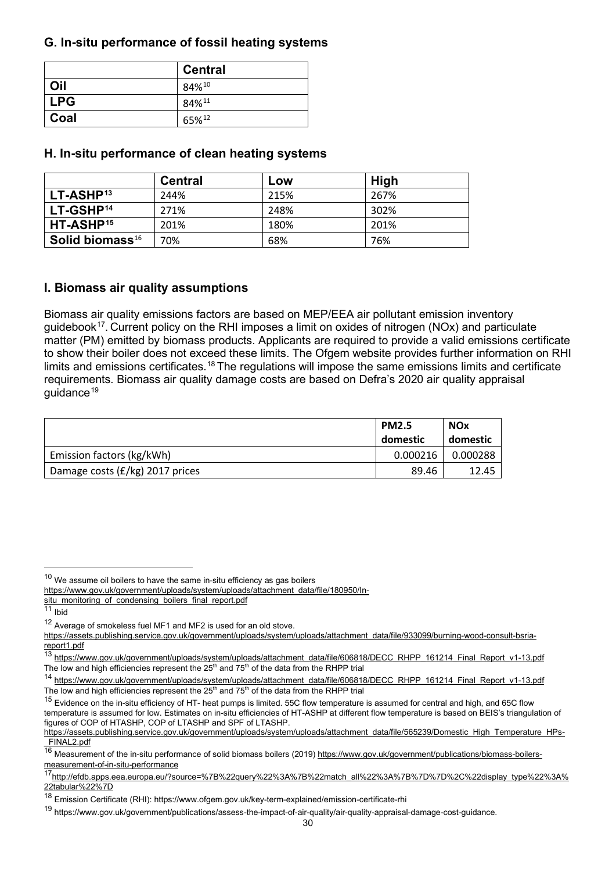#### **G. In-situ performance of fossil heating systems**

|      | <b>Central</b> |
|------|----------------|
| Oil  | 84%10          |
| LPG  | 84%11          |
| Coal | 65%12          |

#### **H. In-situ performance of clean heating systems**

|                             | Central | Low  | <b>High</b> |
|-----------------------------|---------|------|-------------|
| $LT-ASHP13$                 | 244%    | 215% | 267%        |
| LT-GSHP <sup>14</sup>       | 271%    | 248% | 302%        |
| HT-ASHP <sup>15</sup>       | 201%    | 180% | 201%        |
| Solid biomass <sup>16</sup> | 70%     | 68%  | 76%         |

#### **I. Biomass air quality assumptions**

Biomass air quality emissions factors are based on MEP/EEA air pollutant emission inventory guidebook<sup>17</sup>. Current policy on the RHI imposes a limit on oxides of nitrogen (NOx) and particulate matter (PM) emitted by biomass products. Applicants are required to provide a valid emissions certificate to show their boiler does not exceed these limits. The Ofgem website provides further information on RHI limits and emissions certificates.<sup>[18](#page-29-8)</sup> The regulations will impose the same emissions limits and certificate requirements. Biomass air quality damage costs are based on Defra's 2020 air quality appraisal quidance<sup>[19](#page-29-9)</sup>

|                                 | <b>PM2.5</b><br>domestic | <b>NOx</b><br>domestic |
|---------------------------------|--------------------------|------------------------|
| Emission factors (kg/kWh)       | 0.000216                 | 0.000288               |
| Damage costs (£/kg) 2017 prices | 89.46                    | 12.45                  |

<span id="page-29-0"></span> $10$  We assume oil boilers to have the same in-situ efficiency as gas boilers

[https://www.gov.uk/government/uploads/system/uploads/attachment\\_data/file/180950/In-](https://www.gov.uk/government/uploads/system/uploads/attachment_data/file/180950/In-situ_monitoring_of_condensing_boilers_final_report.pdf)

[situ\\_monitoring\\_of\\_condensing\\_boilers\\_final\\_report.pdf](https://www.gov.uk/government/uploads/system/uploads/attachment_data/file/180950/In-situ_monitoring_of_condensing_boilers_final_report.pdf)

<span id="page-29-1"></span><sup>&</sup>lt;sup>11</sup> Ibid

<span id="page-29-2"></span><sup>12</sup> Average of smokeless fuel MF1 and MF2 is used for an old stove.

[https://assets.publishing.service.gov.uk/government/uploads/system/uploads/attachment\\_data/file/933099/burning-wood-consult-bsria](https://assets.publishing.service.gov.uk/government/uploads/system/uploads/attachment_data/file/933099/burning-wood-consult-bsria-report1.pdf)[report1.pdf](https://assets.publishing.service.gov.uk/government/uploads/system/uploads/attachment_data/file/933099/burning-wood-consult-bsria-report1.pdf)

<span id="page-29-3"></span><sup>13</sup> [https://www.gov.uk/government/uploads/system/uploads/attachment\\_data/file/606818/DECC\\_RHPP\\_161214\\_Final\\_Report\\_v1-13.pdf](https://www.gov.uk/government/uploads/system/uploads/attachment_data/file/606818/DECC_RHPP_161214_Final_Report_v1-13.pdf) The low and high efficiencies represent the 25<sup>th</sup> and 75<sup>th</sup> of the data from the RHPP trial

<span id="page-29-4"></span><sup>14</sup> [https://www.gov.uk/government/uploads/system/uploads/attachment\\_data/file/606818/DECC\\_RHPP\\_161214\\_Final\\_Report\\_v1-13.pdf](https://www.gov.uk/government/uploads/system/uploads/attachment_data/file/606818/DECC_RHPP_161214_Final_Report_v1-13.pdf) The low and high efficiencies represent the 25<sup>th</sup> and 75<sup>th</sup> of the data from the RHPP trial

<span id="page-29-5"></span><sup>&</sup>lt;sup>15</sup> Evidence on the in-situ efficiency of HT- heat pumps is limited. 55C flow temperature is assumed for central and high, and 65C flow temperature is assumed for low. Estimates on in-situ efficiencies of HT-ASHP at different flow temperature is based on BEIS's triangulation of figures of COP of HTASHP, COP of LTASHP and SPF of LTASHP.

[https://assets.publishing.service.gov.uk/government/uploads/system/uploads/attachment\\_data/file/565239/Domestic\\_High\\_Temperature\\_HPs-](https://assets.publishing.service.gov.uk/government/uploads/system/uploads/attachment_data/file/565239/Domestic_High_Temperature_HPs-_FINAL2.pdf) FINAL<sub>2.pdf</sub>

<span id="page-29-6"></span><sup>16</sup> Measurement of the in-situ performance of solid biomass boilers (2019[\) https://www.gov.uk/government/publications/biomass-boilers](https://www.gov.uk/government/publications/biomass-boilers-measurement-of-in-situ-performance)[measurement-of-in-situ-performance](https://www.gov.uk/government/publications/biomass-boilers-measurement-of-in-situ-performance)

<span id="page-29-7"></span><sup>1</sup>[7http://efdb.apps.eea.europa.eu/?source=%7B%22query%22%3A%7B%22match\\_all%22%3A%7B%7D%7D%2C%22display\\_type%22%3A%](http://efdb.apps.eea.europa.eu/?source=%7B%22query%22%3A%7B%22match_all%22%3A%7B%7D%7D%2C%22display_type%22%3A%22tabular%22%7D) [22tabular%22%7D](http://efdb.apps.eea.europa.eu/?source=%7B%22query%22%3A%7B%22match_all%22%3A%7B%7D%7D%2C%22display_type%22%3A%22tabular%22%7D)

<span id="page-29-8"></span><sup>18</sup> Emission Certificate (RHI): https://www.ofgem.gov.uk/key-term-explained/emission-certificate-rhi

<span id="page-29-9"></span><sup>19</sup> https://www.gov.uk/government/publications/assess-the-impact-of-air-quality/air-quality-appraisal-damage-cost-guidance.